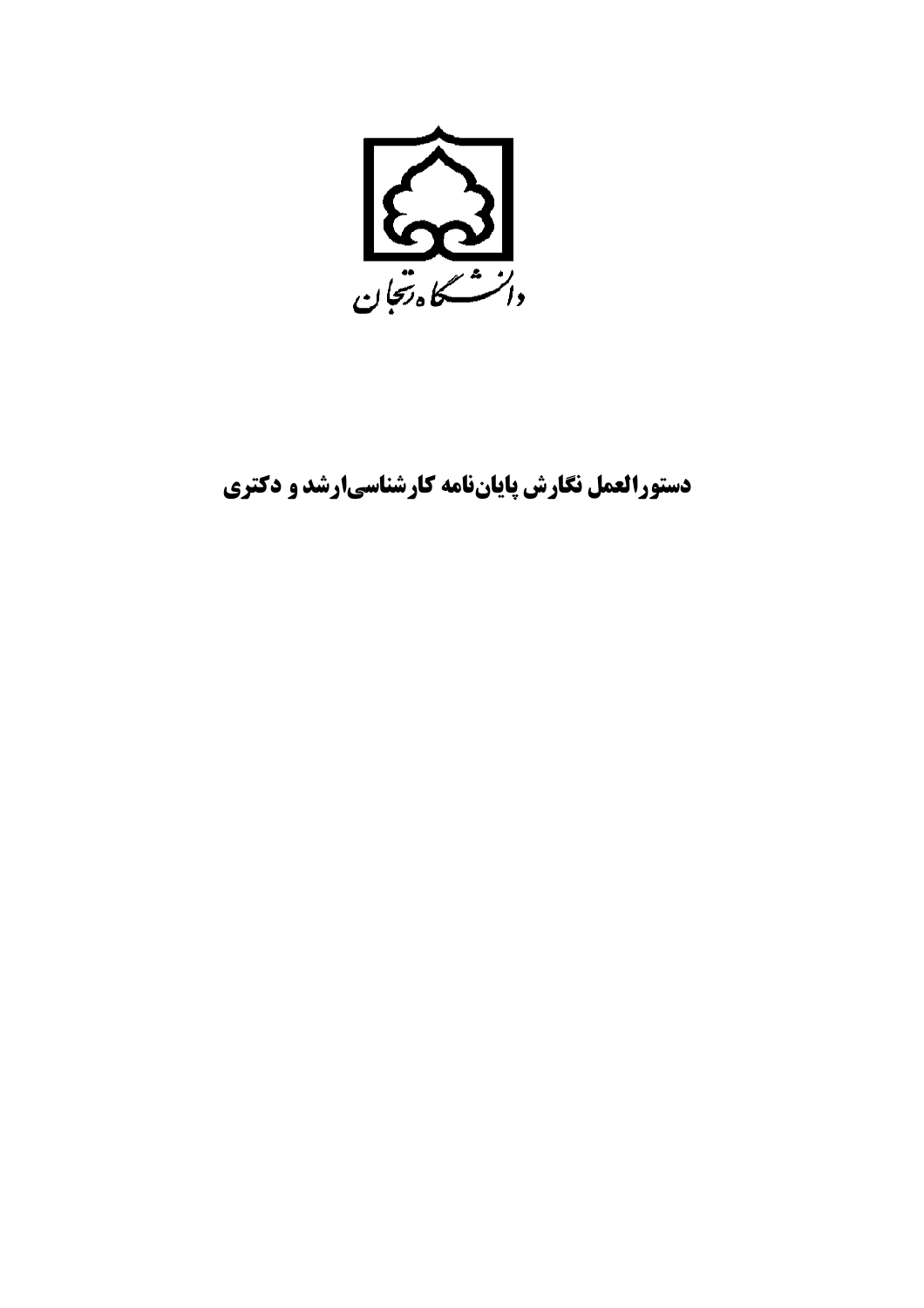

دستورالعمل نگارش پایاننامه کارشناسیارشد و دکتری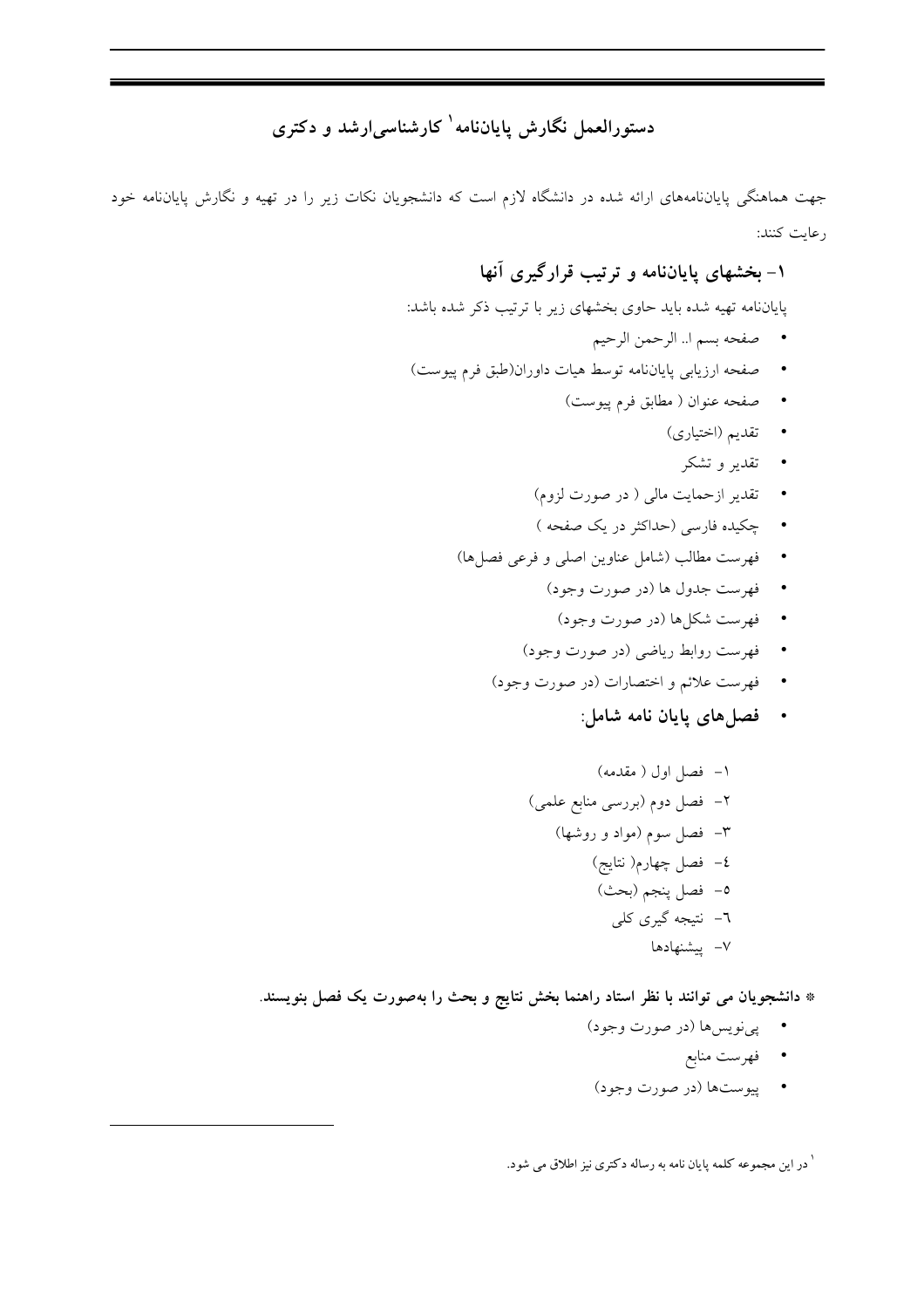## دستورالعمل نگارش پایاننامه کارشناسی ارشد و دکتری

جهت هماهنگی پایاننامههای ارائه شده در دانشگاه لازم است که دانشجویان نکات زیر را در تهیه و نگارش پایاننامه خود رعايت كنند:

## ۱- بخشهای پایاننامه و ترتیب قرارگیری آنها

پایاننامه تهیه شده باید حاوی بخشهای زیر با ترتیب ذکر شده باشد:

- مصفحه بسم ا.. الرحمن الرحيم
- صفحه ارزيابي پاياننامه توسط هيات داوران(طبق فرم پيوست)
	- صفحه عنوان ( مطابق فرم پیوست)
		- تقدیم (اختیاری)
			- تقدير و تشكر
	- تقدیر ازحمایت مال<sub>ی</sub> ( در صورت لزوم)
	- جکیده فارسی (حداکثر در یک صفحه )
	- فهرست مطالب (شامل عناوين اصلي و فرعي فصلها)
		- فهرست جدول ها (در صورت وجود)
			- فهرست شکا ها (در صورت وجود)
		- فهرست روابط رياضي (در صورت وجود)
		- فهرست علائم و اختصارات (در صورت وجود)
			- · فصلهای پایان نامه شامل:

\* دانشجویان می توانند با نظر استاد راهنما بخش نتایج و بحث را بهصورت یک فصل بنویسند.

- پي نويس،ا (در صورت وجود)
	- فهرست منابع
- پيوستها (در صورت وجود)

<sup>۱</sup> در این مجموعه کلمه پایان نامه به رساله دکتری نیز اطلاق می شود.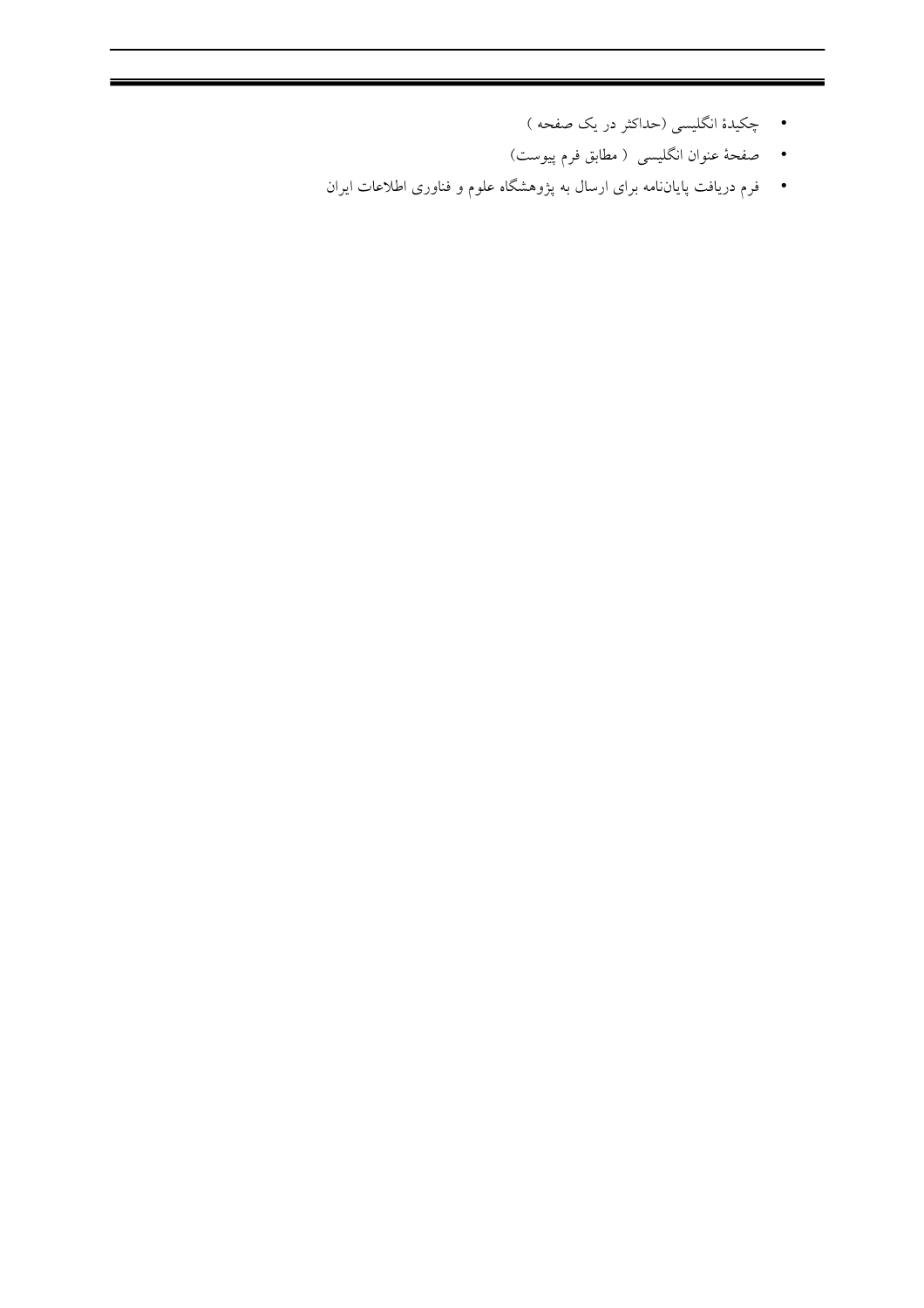- چکیدهٔ انگلیسی (حداکثر در یک صفحه )
- صفحهٔ عنوان انگلیسی ( مطابق فرم پیوست)
- فرم دریافت پایاننامه برای ارسال به پژوهشگاه علوم و فناوری اطلاعات ایران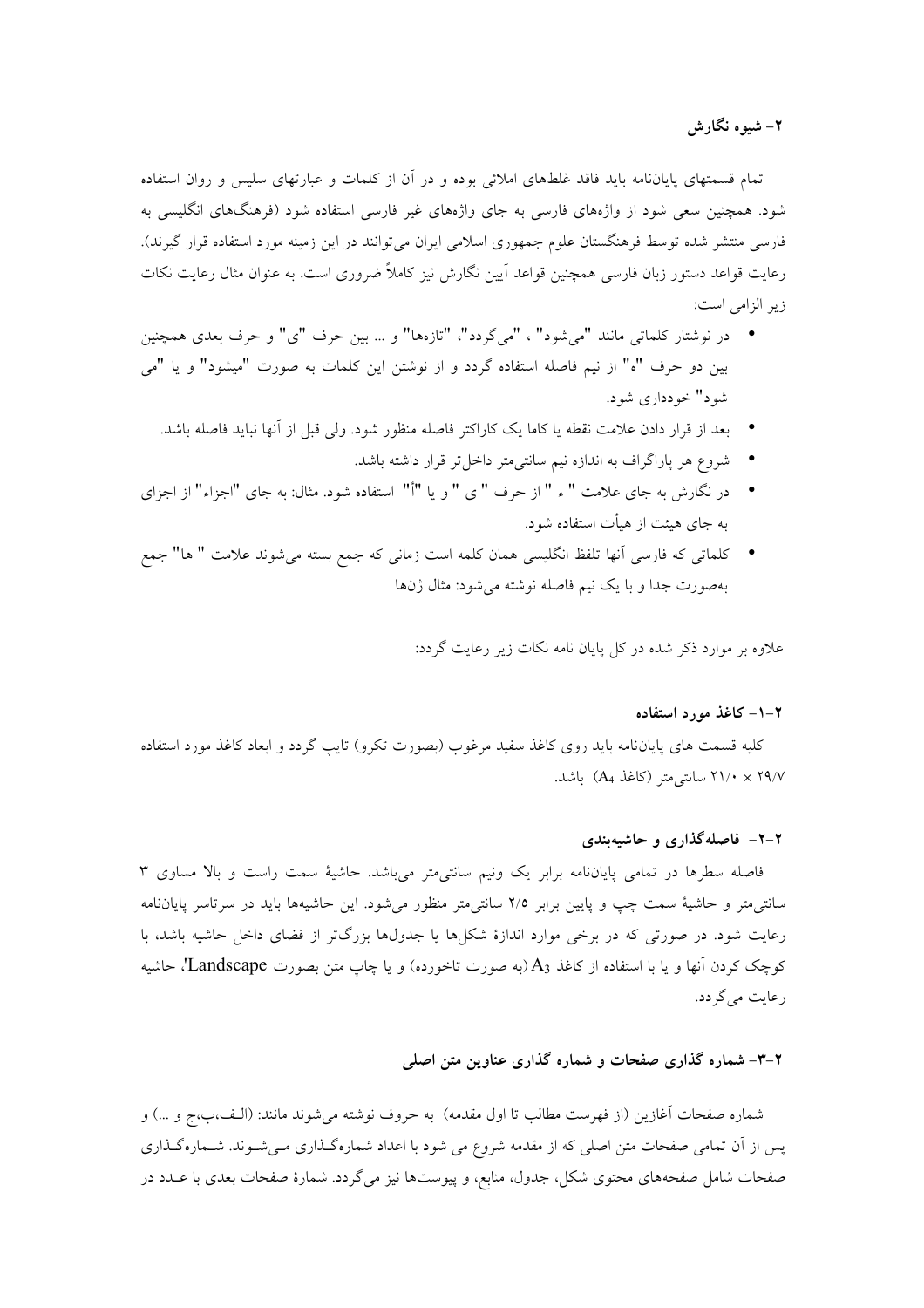۲– شیوه نگارش

تمام قسمتهای پایاننامه باید فاقد غلطهای املائی بوده و در آن از کلمات و عبارتهای سلیس و روان استفاده شود. همچنین سعی شود از واژههای فارسی به جای واژههای غیر فارسی استفاده شود (فرهنگهای انگلیسی به فارسی منتشر شده توسط فرهنگستان علوم جمهوری اسلامی ایران می توانند در این زمینه مورد استفاده قرار گیرند). رعایت قواعد دستور زبان فارسی همچنین قواعد اَیین نگارش نیز کاملاً ضروری است. به عنوان مثال رعایت نکات زير الزامي است:

- در نوشتار كلماتي مانند "مي شود" ، "مي گردد"، "تازهها" و … بين حرف "ي" و حرف بعدي همچنين بین دو حرف "ه" از نیم فاصله استفاده گردد و از نوشتن این کلمات به صورت "میشود" و یا "می شود" خودداري شود.
	- بعد از قرار دادن علامت نقطه یا کاما یک کاراکتر فاصله منظور شود. ولی قبل از أنها نباید فاصله باشد.
		- شروع هر پاراگراف به اندازه نیم سانتی متر داخل تر قرار داشته باشد.
- در نگارش به جای علامت " ء " از حرف " ی " و یا "أ" استفاده شود. مثال: به جای "اجزاء" از اجزای به جای هیئت از هیأت استفاده شود.
- كلماتي كه فارسي أنها تلفظ انگليسي همان كلمه است زماني كه جمع بسته مي شوند علامت " ها" جمع بهصورت جداً و با يک نيم فاصله نوشته مي شود: مثال ژنها

علاوه بر موارد ذکر شده در کل پایان نامه نکات زیر رعایت گردد:

#### ۲–۱– کاغذ مورد استفاده

کلیه قسمت های پایاننامه باید روی کاغذ سفید مرغوب (بصورت تکرو) تایب گردد و ابعاد کاغذ مورد استفاده ۲۹/۷ × ۲۱/۰ سانتی متر (کاغذ A4) باشد.

#### ۲-۲- فاصلهگذاری و حاشیهبندی

فاصله سطرها در تمامی پایاننامه برابر یک ونیم سانتی متر میباشد. حاشیهٔ سمت راست و بالا مساوی ۳ سانتی متر و حاشیهٔ سمت چپ و پایین برابر ۲/۵ سانتی متر منظور میشود. این حاشیهها باید در سرتاسر پایاننامه رعایت شود. در صورتی که در برخی موارد اندازهٔ شکلها یا جدولها بزرگتر از فضای داخل حاشیه باشد، با کوچک کردن آنها و یا با استفاده از کاغذ A3(به صورت تاخورده) و یا چاپ متن بصورت Landscape''، حاشیه رعایت مے گر دد.

#### ۲-۳- شماره گذاری صفحات و شماره گذاری عناوین متن اصلی

شماره صفحات آغازين (از فهرست مطالب تا اول مقدمه) به حروف نوشته مي شوند مانند: (الـف،ب،ج و …) و پس از آن تمامی صفحات متن اصلی که از مقدمه شروع می شود با اعداد شمارهگذاری مـیشـوند. شـمارهگـذاری صفحات شامل صفحههای محتوی شکل، جدول، منابع، و پیوستها نیز میگردد. شمارهٔ صفحات بعدی با عــدد در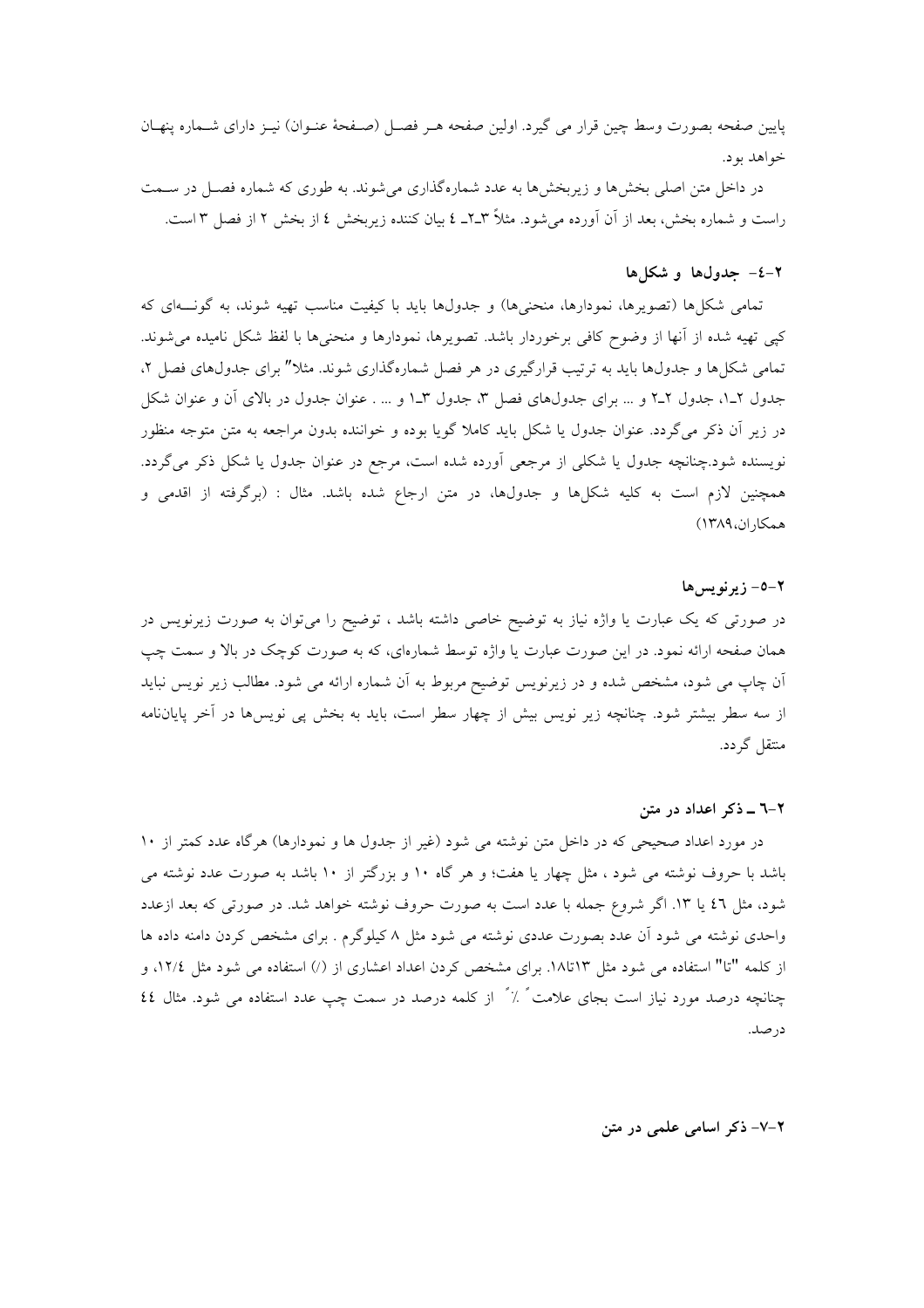يايين صفحه بصورت وسط چين قرار مي گيرد. اولين صفحه هـر فصـل (صـفحهٔ عنـوان) نيـز داراي شـماره پنهـان خواهد بود.

در داخل متن اصلی بخشها و زیربخشها به عدد شمارهگذاری می شوند. به طوری که شماره فصـل در سـمت راست و شماره بخش، بعد از آن آورده می شود. مثلاً ۳ـ۲ــ ٤ بیان کننده زیربخش ٤ از بخش ٢ از فصل ٣ است.

#### ٢-٤- جدولها وشكلها

تمامی شکلها (تصویرها، نمودارها، منحنیها) و جدولها باید با کیفیت مناسب تهیه شوند، به گونــهای که كيي تهيه شده از آنها از وضوح كافي برخوردار باشد. تصويرها، نمودارها و منحنيها با لفظ شكل ناميده مي شوند. تمامی شکل ها و جدولها باید به ترتیب قرارگیری در هر فصل شمارهگذاری شوند. مثلا" برای جدولهای فصل ۲، جدول ۲ـ۱، جدول ۲ـ۲ و … براي جدولهاي فصل ۳، جدول ۳ـ۱ و … . عنوان جدول در بالاي آن و عنوان شكل در زیر آن ذکر می گردد. عنوان جدول یا شکل باید کاملا گویا بوده و خواننده بدون مراجعه به متن متوجه منظور نویسنده شود.چنانچه جدول یا شکلی از مرجعی آورده شده است، مرجع در عنوان جدول یا شکل ذکر میگردد. همچنین لازم است به کلیه شکلها و جدولها، در متن ارجاع شده باشد. مثال : (برگرفته از اقدمی و همكاران،١٣٨٩)

#### $1 - 0 - 7$  و نو سر ها

در صورتی که یک عبارت یا واژه نیاز به توضیح خاصی داشته باشد ، توضیح را میتوان به صورت زیرنویس در همان صفحه ارائه نمود. در این صورت عبارت یا واژه توسط شمارهای، که به صورت کوچک در بالا و سمت چپ اّن چاپ می شود، مشخص شده و در زیرنویس توضیح مربوط به اّن شماره ارائه می شود. مطالب زیر نویس نباید از سه سطر بیشتر شود. چنانچه زیر نویس بیش از چهار سطر است، باید به بخش پی نویسها در آخر پایاننامه منتقل گردد.

#### ۲-٦ ـ ذکر اعداد در متن

در مورد اعداد صحیحی که در داخل متن نوشته می شود (غیر از جدول ها و نمودارها) هرگاه عدد کمتر از ۱۰ باشد با حروف نوشته می شود ، مثل چهار یا هفت؛ و هر گاه ۱۰ و بزرگتر از ۱۰ باشد به صورت عدد نوشته می شود، مثل ٤٦ يا ١٣. اگر شروع جمله با عدد است به صورت حروف نوشته خواهد شد. در صورتي كه بعد ازعدد واحدی نوشته می شود آن عدد بصورت عددی نوشته می شود مثل ۸ کیلوگرم . برای مشخص کردن دامنه داده ها از کلمه "تا" استفاده می شود مثل ۱۳تا۱۸. برای مشخص کردن اعداد اعشاری از (/) استفاده می شود مثل ۱۲/٤، و چنانچه درصد مورد نیاز است بجای علامت ً ٪ ً از کلمه درصد در سمت چپ عدد استفاده می شود. مثال ٤٤ در صد.

٢-٧- ذكر اسامى علمى در متن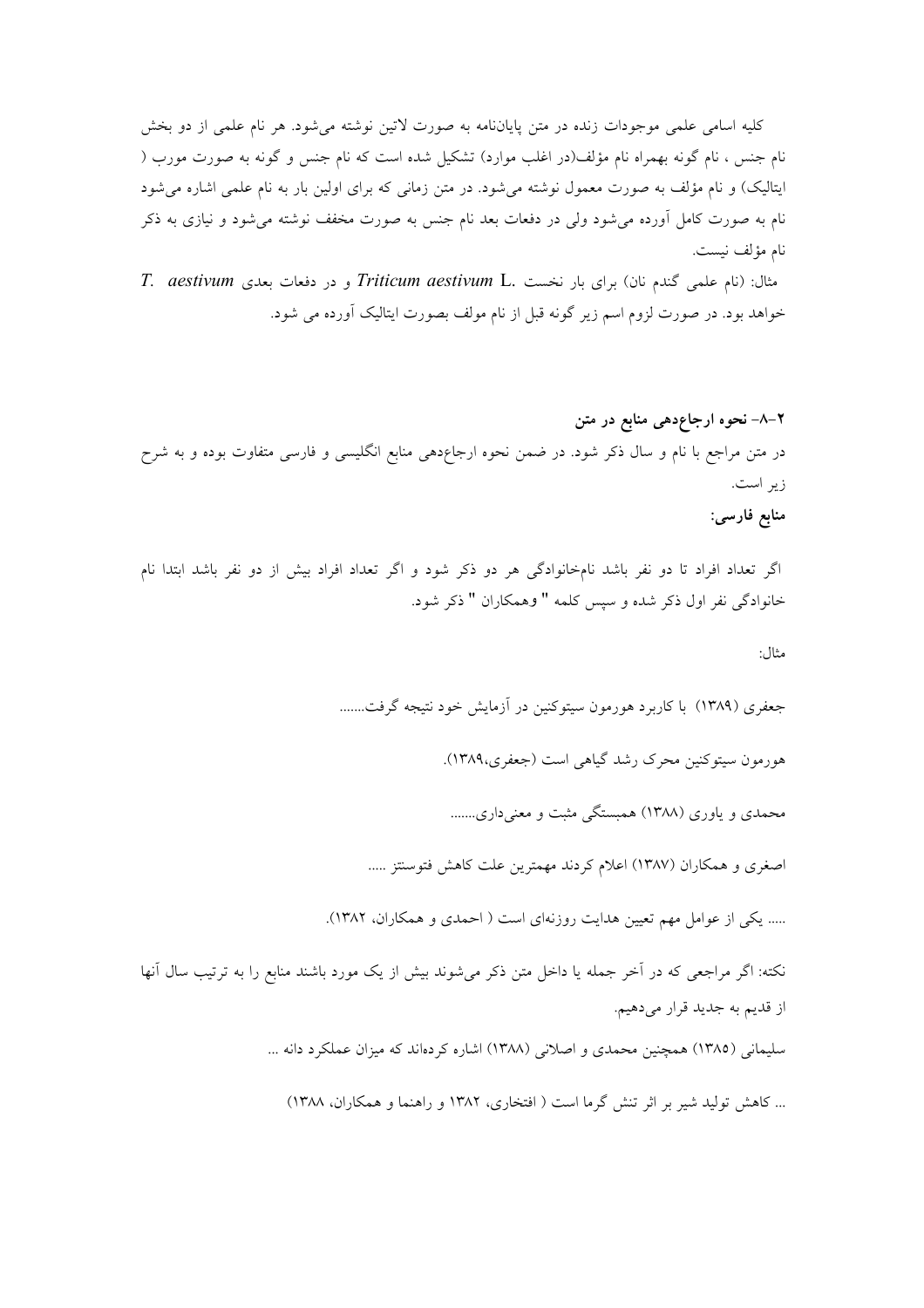کلیه اسامی علمی موجودات زنده در متن پایاننامه به صورت لاتین نوشته میشود. هر نام علمی از دو بخش نام جنس ، نام گونه بهمراه نام مؤلف(در اغلب موارد) تشکیل شده است که نام جنس و گونه به صورت مورب ( ایتالیک) و نام مؤلف به صورت معمول نوشته می شود. در متن زمانی که برای اولین بار به نام علمی اشاره می شود نام به صورت کامل آورده می شود ولی در دفعات بعد نام جنس به صورت مخفف نوشته می شود و نیازی به ذکر نام مؤلف نيست.

مثال: (نام علمی گندم نان) برای بار نخست .Triticum aestivum L و در دفعات بعدی T. aestivum خواهد بود. در صورت لزوم اسم زیر گونه قبل از نام مولف بصورت ایتالیک آورده می شود.

اگر تعداد افراد تا دو نفر باشد نامخانوادگی هر دو ذکر شود و اگر تعداد افراد بیش از دو نفر باشد ابتدا نام خانوادگی نفر اول ذکر شده و سپس کلمه " وهمکاران " ذکر شود.

مثال:

جعفري (١٣٨٩) با كاربرد هورمون سيتوكنين در آزمايش خود نتيجه گرفت.......

هورمون سيتوكنين محرك رشد گياهي است (جعفري،١٣٨٩).

محمدی و یاوری (۱۳۸۸) همبستگی مثبت و معنیداری.......

اصغری و همکاران (۱۳۸۷) اعلام کردند مهمترین علت کاهش فتوسنتز .....

..... یکی از عوامل مهم تعیین هدایت روزنهای است ( احمدی و همکاران، ۱۳۸۲).

نکته: اگر مراجعی که در آخر جمله یا داخل متن ذکر می شوند بیش از یک مورد باشند منابع را به ترتیب سال آنها از قديم به جديد قرار ميدهيم.

سلیمانی (۱۳۸۵) همچنین محمدی و اصلانی (۱۳۸۸) اشاره کردهاند که میزان عملکرد دانه ...

... كاهش توليد شير بر اثر تنش گرما است ( افتخاري، ١٣٨٢ و راهنما و همكاران، ١٣٨٨)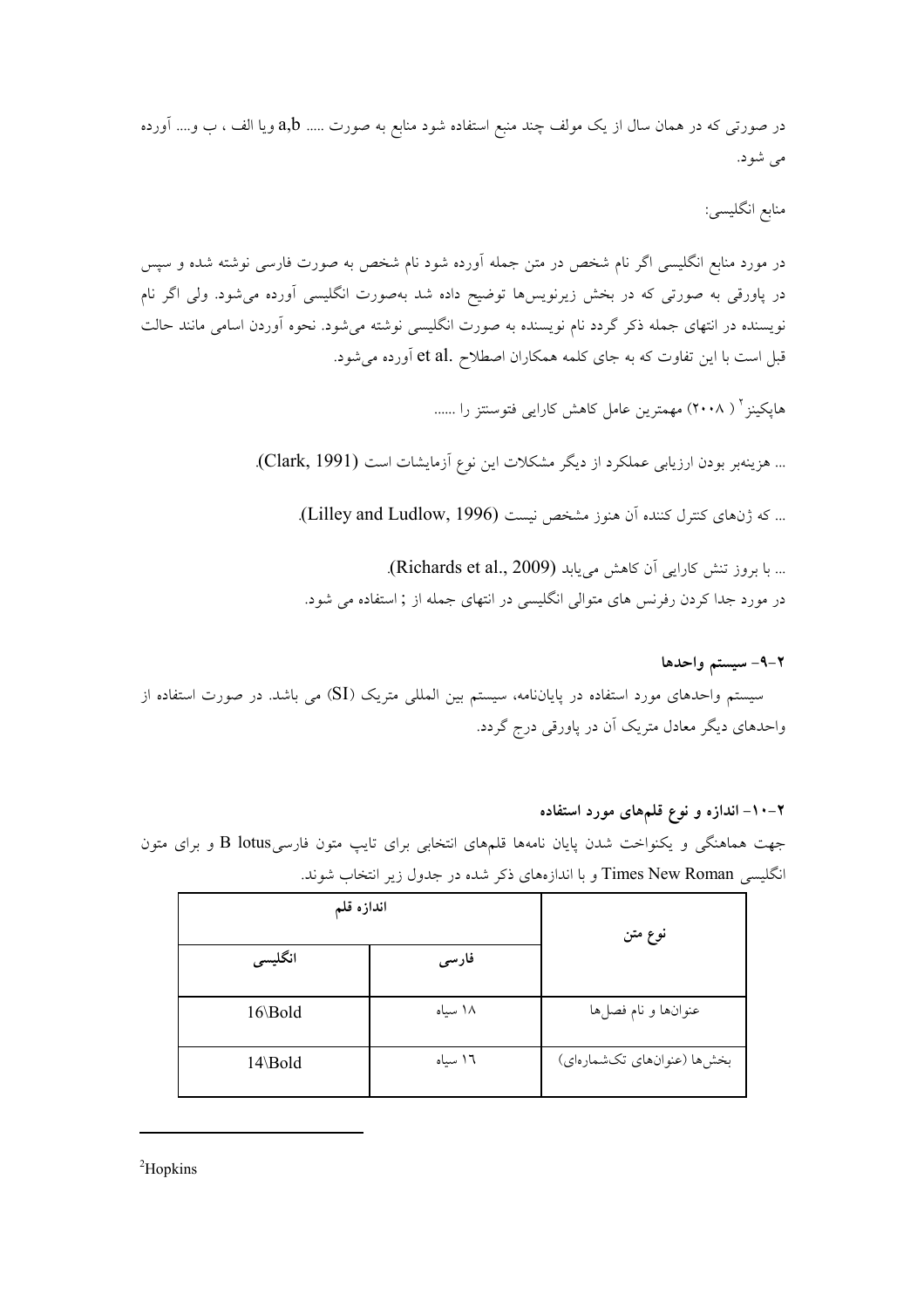در صورتی که در همان سال از یک مولف چند منبع استفاده شود منابع به صورت …. a,b ویا الف ، ب و…. اَورده می شود.

منابع انگلیسی:

در مورد منابع انگلیسی اگر نام شخص در متن جمله آورده شود نام شخص به صورت فارسی نوشته شده و سپس در پاورقی به صورتی که در بخش زیرنویسها توضیح داده شد بهصورت انگلیسی آورده میشود. ولی اگر نام نویسنده در انتهای جمله ذکر گردد نام نویسنده به صورت انگلیسی نوشته میشود. نحوه آوردن اسامی مانند حالت قبل است با این تفاوت که به جای کلمه همکاران اصطلاح .et al اَورده میشود.

هایکینز <sup>۲</sup> ( ۲۰۰۸) مهمترین عامل کاهش کارایی فتوسنتز را ......

... هزينهبر بودن ارزيابي عملكرد از ديگر مشكلات اين نوع آزمايشات است (Clark, 1991).

... كه ژنهاى كنترل كننده آن هنوز مشخص نيست (Lilley and Ludlow, 1996).

... با بروز تنش كارايي أن كاهش مي بابد (Richards et al., 2009). در مورد جدا کردن رفرنس های متوالی انگلیسی در انتهای جمله از ; استفاده می شود.

٢-٩- سيستم واحدها

سیستم واحدهای مورد استفاده در پایاننامه، سیستم بین المللی متریک (SI) می باشد. در صورت استفاده از واحدهای دیگر معادل متریک آن در پاورقی درج گردد.

#### ۲–۱۰– اندازه و نوع قلمهای مورد استفاده

جهت هماهنگی و یکنواخت شدن پایان نامهها قلمهای انتخابی برای تایب متون فارسیB lotus و برای متون انگلیسی Times New Roman و با اندازههای ذکر شده در جدول زیر انتخاب شوند.

| اندازه قلم |         | نوع متن                    |  |
|------------|---------|----------------------------|--|
| انگلیسی    | فارسى   |                            |  |
| 16\Bold    | ۱۸ سیاه | عنوانها و نام فصلها        |  |
| 14\Bold    | ١٦ سياه | بخشها (عنوانهای تکشمارهای) |  |

 ${}^{2}$ Hopkins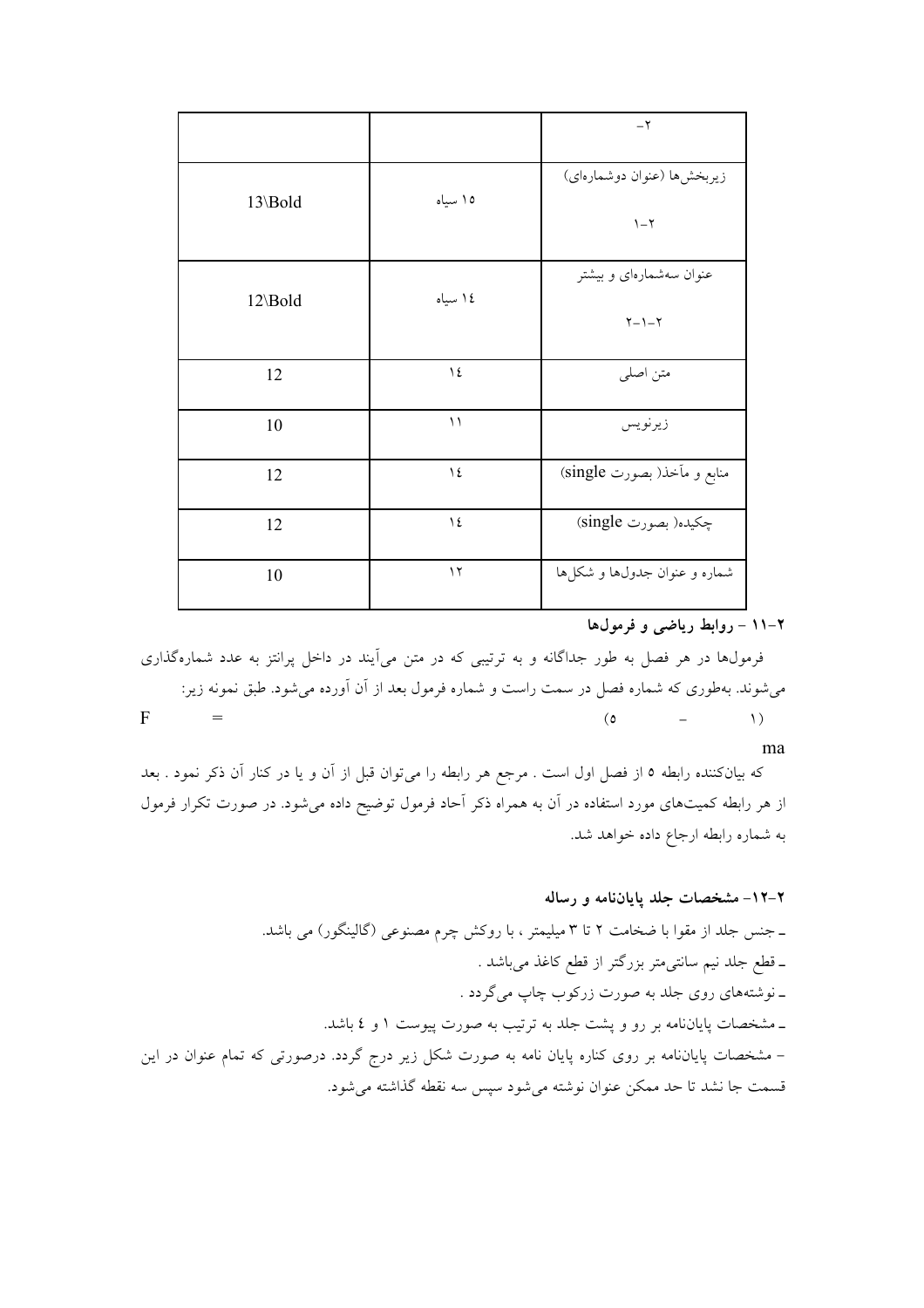|         |                | $-\tau$                                             |
|---------|----------------|-----------------------------------------------------|
| 13\Bold | ١٥ سياه        | زيربخشها (عنوان دوشمارهاي)<br>$\upgamma - \upgamma$ |
| 12\Bold | ١٤ سياه        | عنوان سهشمارهای و بیشتر<br>$Y - 1 - Y$              |
| 12      | $\lambda$      | متن اصلى                                            |
| 10      | $\setminus$    | زيرنويس                                             |
| 12      | $\lambda$      | منابع و مأخذ( بصورت single)                         |
| 12      | $\backslash$ { | چکیده( بصورت single)                                |
| 10      | $\gamma$       | شماره و عنوان جدولها و شکلها                        |

۲-۱۱ - روابط ریاضی و فرمولها

فرمولها در هر فصل به طور جداگانه و به ترتیبی که در متن می آیند در داخل پرانتز به عدد شمارهگذاری می شوند. بهطوری که شماره فصل در سمت راست و شماره فرمول بعد از آن آورده می شود. طبق نمونه زیر:  $\mathbf{F}$  $\mathbf{r} =$  $\left\langle \right\rangle$  $\circ$  $\equiv$ 

ma

که بیانکننده رابطه ٥ از فصل اول است . مرجع هر رابطه را میتوان قبل از آن و یا در کنار آن ذکر نمود . بعد از هر رابطه کمیتهای مورد استفاده در آن به همراه ذکر آحاد فرمول توضیح داده میشود. در صورت تکرار فرمول به شماره رابطه ارجاع داده خواهد شد.

#### ۲–۱۲– مشخصات جلد پایاننامه و رساله

ـ جنس جلد از مقوا با ضخامت ۲ تا ۳ میلیمتر ، با روکش چرم مصنوعی (گالینگور) می باشد. ـ قطع جلد نیم سانتی0متر بزرگتر از قطع کاغذ میباشد . ـ نوشتههاي روي جلد به صورت زركوب چاپ مي گردد . ـ مشخصات پایاننامه بر رو و پشت جلد به ترتیب به صورت پیوست ١ و ٤ باشد. – مشخصات پایاننامه بر روی کناره پایان نامه به صورت شکل زیر درج گردد. درصورتی که تمام عنوان در این قسمت جا نشد تا حد ممكن عنوان نوشته مى شود سيس سه نقطه گذاشته مى شود.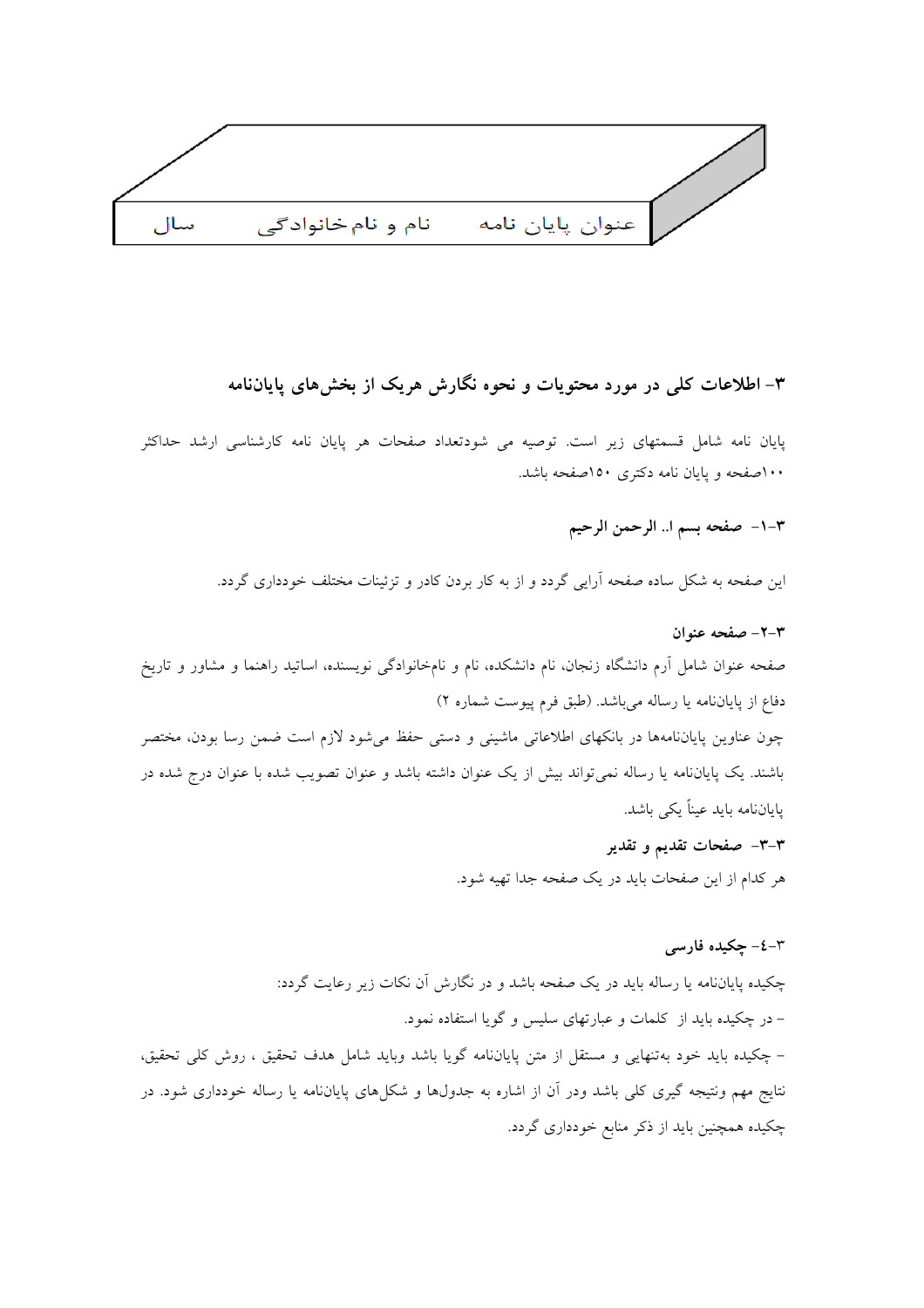

## ۳– اطلاعات کلی در مورد محتویات و نحوه نگارش هریک از بخشهای یایاننامه

.<br>پایان نامه شامل قسمتهای زیر است. توصیه می شودتعداد صفحات هر پایان نامه کارشناسی ارشد حداکثر ۱۰۰صفحه و یایان نامه دکتری ۱۵۰صفحه باشد.

٣-١- صفحه بسم ا.. الرحمن الرحيم

این صفحه به شکل ساده صفحه آرایی گردد و از به کار بردن کادر و تزئینات مختلف خودداری گردد.

# ٣-٢- صفحه عنوان صفحه عنوان شامل آرم دانشگاه زنجان، نام دانشکده، نام و نامخانوادگی نویسنده، اساتید راهنما و مشاور و تاریخ دفاع از پایاننامه یا رساله میباشد. (طبق فرم پیوست شماره ۲) چون عناوین پایاننامهها در بانکهای اطلاعاتی ماشینی و دستی حفظ می شود لازم است ضمن رسا بودن، مختصر باشند. یک پایاننامه یا رساله نمی تواند بیش از یک عنوان داشته باشد و عنوان تصویب شده با عنوان درج شده در ياياننامه بايد عيناً يكي باشد. ۳–۳– صفحات تقدیم و تقدیر هر کدام از این صفحات باید در یک صفحه جدا تهیه شود.

#### ۳-٤- چکیده فارسی

چکیده پایاننامه یا رساله باید در یک صفحه باشد و در نگارش آن نکات زیر رعایت گردد: – در چکیده باید از کلمات و عبارتهای سلیس و گویا استفاده نمود. – چکیده باید خود بهتنهایی و مستقل از متن پایاننامه گویا باشد وباید شامل هدف تحقیق ، روش کلی تحقیق، نتایج مهم ونتیجه گیری کلی باشد ودر آن از اشاره به جدولها و شکلهای پایانLنامه یا رساله خودداری شود. در چکیده همچنین باید از ذکر منابع خودداری گردد.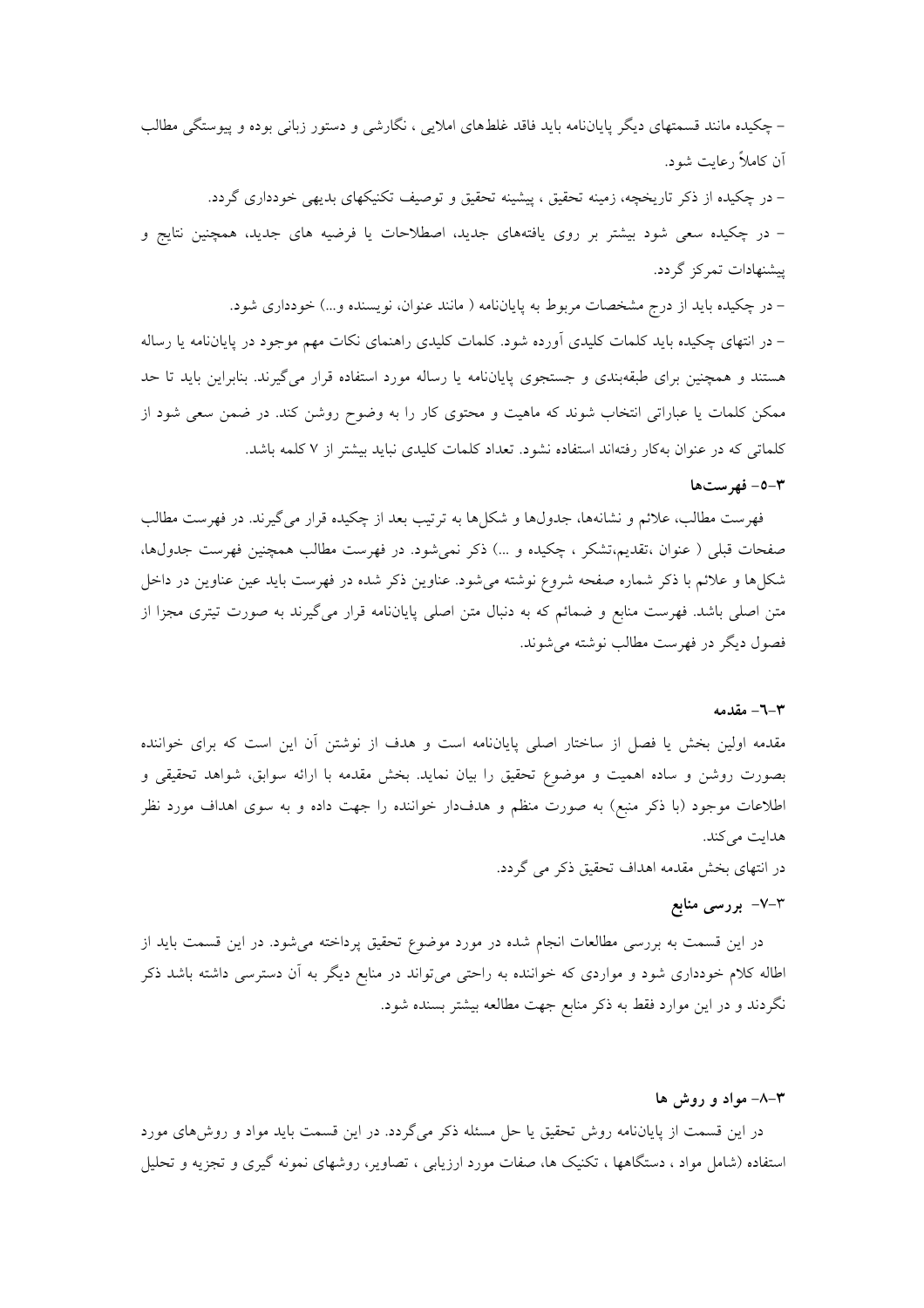– چکیده مانند قسمتهای دیگر پایاننامه باید فاقد غلطهای املایی ، نگارشی و دستور زبانی بوده و پیوستگی مطالب آن کاملاً رعایت شود.

– در چکیده از ذکر تاریخچه، زمینه تحقیق ، پیشینه تحقیق و توصیف تکنیکهای بدیهی خودداری گردد. – در چکیده سعی شود بیشتر بر روی یافتههای جدید، اصطلاحات یا فرضیه های جدید، همچنین نتایج و پیشنهادات تمرکز گردد.

– در چکیده باید از درج مشخصات مربوط به پایاننامه ( مانند عنوان، نویسنده و...) خودداری شود. – در انتهای چکیده باید کلمات کلیدی آورده شود. کلمات کلیدی راهنمای نکات مهم موجود در پایاننامه یا رساله هستند و همچنین برای طبقهبندی و جستجوی پایاننامه یا رساله مورد استفاده قرار میگیرند. بنابراین باید تا حد ممکن کلمات یا عباراتی انتخاب شوند که ماهیت و محتوی کار را به وضوح روشن کند. در ضمن سعی شود از کلماتی که در عنوان بهکار رفتهاند استفاده نشود. تعداد کلمات کلیدی نباید بیشتر از ۷ کلمه باشد.

#### ٥-٣- فهرستها

فهرست مطالب، علائم و نشانهها، جدولها و شکلها به ترتیب بعد از چکیده قرار می گیرند. در فهرست مطالب صفحات قبلی ( عنوان ،تقدیم،تشکر ، چکیده و …) ذکر نمیشود. در فهرست مطالب همچنین فهرست جدولها، شکلها و علائم با ذکر شماره صفحه شروع نوشته میشود. عناوین ذکر شده در فهرست باید عین عناوین در داخل متن اصلی باشد. فهرست منابع و ضمائم که به دنبال متن اصلی پایاننامه قرار میگیرند به صورت تیتری مجزا از فصول ديگر در فهرست مطالب نوشته مي شوند.

#### ۳-٦- مقدمه

مقدمه اولین بخش یا فصل از ساختار اصلی پایاننامه است و هدف از نوشتن آن این است که برای خواننده بصورت روشن و ساده اهمیت و موضوع تحقیق را بیان نماید. بخش مقدمه با ارائه سوابق، شواهد تحقیقی و اطلاعات موجود (با ذکر منبع) به صورت منظم و هدفدار خواننده را جهت داده و به سوی اهداف مورد نظر هدايت مي كند.

در انتهای بخش مقدمه اهداف تحقیق ذکر می گردد.

#### ۳–۷– بررسی منابع

در این قسمت به بررسی مطالعات انجام شده در مورد موضوع تحقیق پرداخته می شود. در این قسمت باید از اطاله کلام خودداری شود و مواردی که خواننده به راحتی میتواند در منابع دیگر به آن دسترسی داشته باشد ذکر نگردند و در این موارد فقط به ذکر منابع جهت مطالعه بیشتر بسنده شود.

#### ۳–۸– مواد و روش ها

در این قسمت از پایاننامه روش تحقیق یا حل مسئله ذکر میگردد. در این قسمت باید مواد و روشهای مورد استفاده (شامل مواد ، دستگاهها ، تکنیک ها، صفات مورد ارزیابی ، تصاویر، روشهای نمونه گیری و تجزیه و تحلیل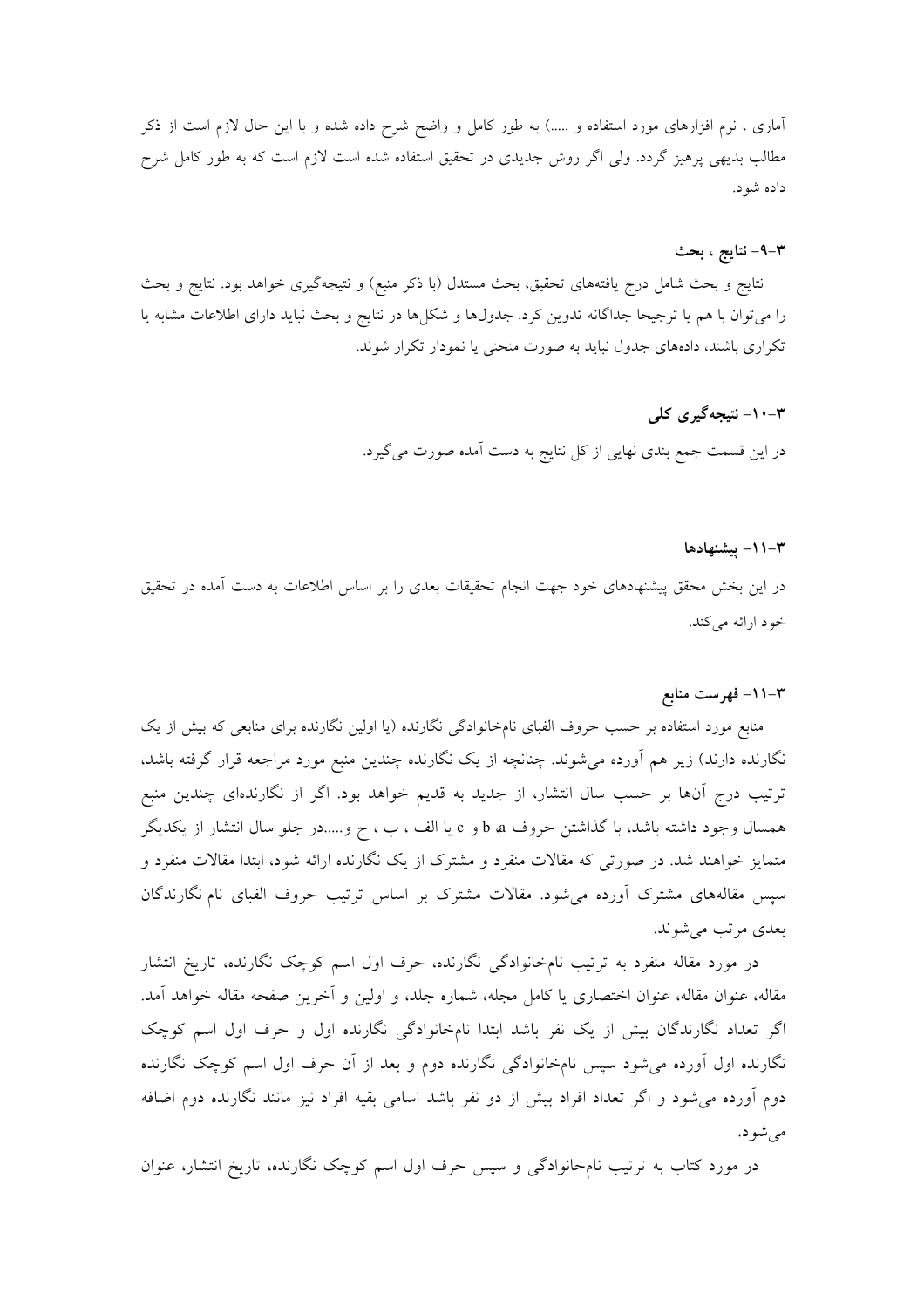آماری ، نرم افزارهای مورد استفاده و …..) به طور کامل و واضح شرح داده شده و با این حال لازم است از ذکر مطالب بدیهی پرهیز گردد. ولی اگر روش جدیدی در تحقیق استفاده شده است لازم است که به طور کامل شرح داده شو د.

#### ۴–۹– نتايج ، بحث

نتایج و بحث شامل درج یافتههای تحقیق، بحث مستدل (با ذکر منبع) و نتیجهگیری خواهد بود. نتایج و بحث را می توان با هم یا ترجیحا جداگانه تدوین کرد. جدولها و شکلها در نتایج و بحث نباید دارای اطلاعات مشابه یا تکراری باشند، دادههای جدول نباید به صورت منحنی یا نمودار تکرار شوند.

#### ۳-۱۰- نتیجهگیری کلی

در این قسمت جمع بندی نهایی از کل نتایج به دست آمده صورت میگیرد.

#### ۰۱۱– پیشنهادها

در این بخش محقق پیشنهادهای خود جهت انجام تحقیقات بعدی را بر اساس اطلاعات به دست آمده در تحقیق خود ارائه مے کند.

#### ۰۱۱– فهرست منابع

منابع مورد استفاده بر حسب حروف الفبای نامخانوادگی نگارنده (یا اولین نگارنده برای منابعی که بیش از یک نگارنده دارند) زیر هم آورده میشوند. چنانچه از یک نگارنده چندین منبع مورد مراجعه قرار گرفته باشد، ترتیب درج آنها بر حسب سال انتشار، از جدید به قدیم خواهد بود. اگر از نگارندهای چندین منبع همسال وجود داشته باشد، با گذاشتن حروف d a و c یا الف ، ب ، ج و.....در جلو سال انتشار از یکدیگر متمایز خواهند شد. در صورتی که مقالات منفرد و مشترک از یک نگارنده ارائه شود، ابتدا مقالات منفرد و سپس مقالههای مشترک آورده میشود. مقالات مشترک بر اساس ترتیب حروف الفبای نام نگارندگان بعدي مرتب مي شوند.

در مورد مقاله منفرد به ترتیب نامخانوادگی نگارنده، حرف اول اسم کوچک نگارنده، تاریخ انتشار مقاله، عنوان مقاله، عنوان اختصاري يا كامل مجله، شماره جلد، و اولين و آخرين صفحه مقاله خواهد آمد. اگر تعداد نگارندگان بیش از یک نفر باشد ابتدا نامخانوادگی نگارنده اول و حرف اول اسم کوچک نگارنده اول آورده می شود سپس نامخانوادگی نگارنده دوم و بعد از آن حرف اول اسم کوچک نگارنده دوم آورده میشود و اگر تعداد افراد بیش از دو نفر باشد اسامی بقیه افراد نیز مانند نگارنده دوم اضافه مے شو د.

در مورد کتاب به ترتیب نامخانوادگی و سپس حرف اول اسم کوچک نگارنده، تاریخ انتشار، عنوان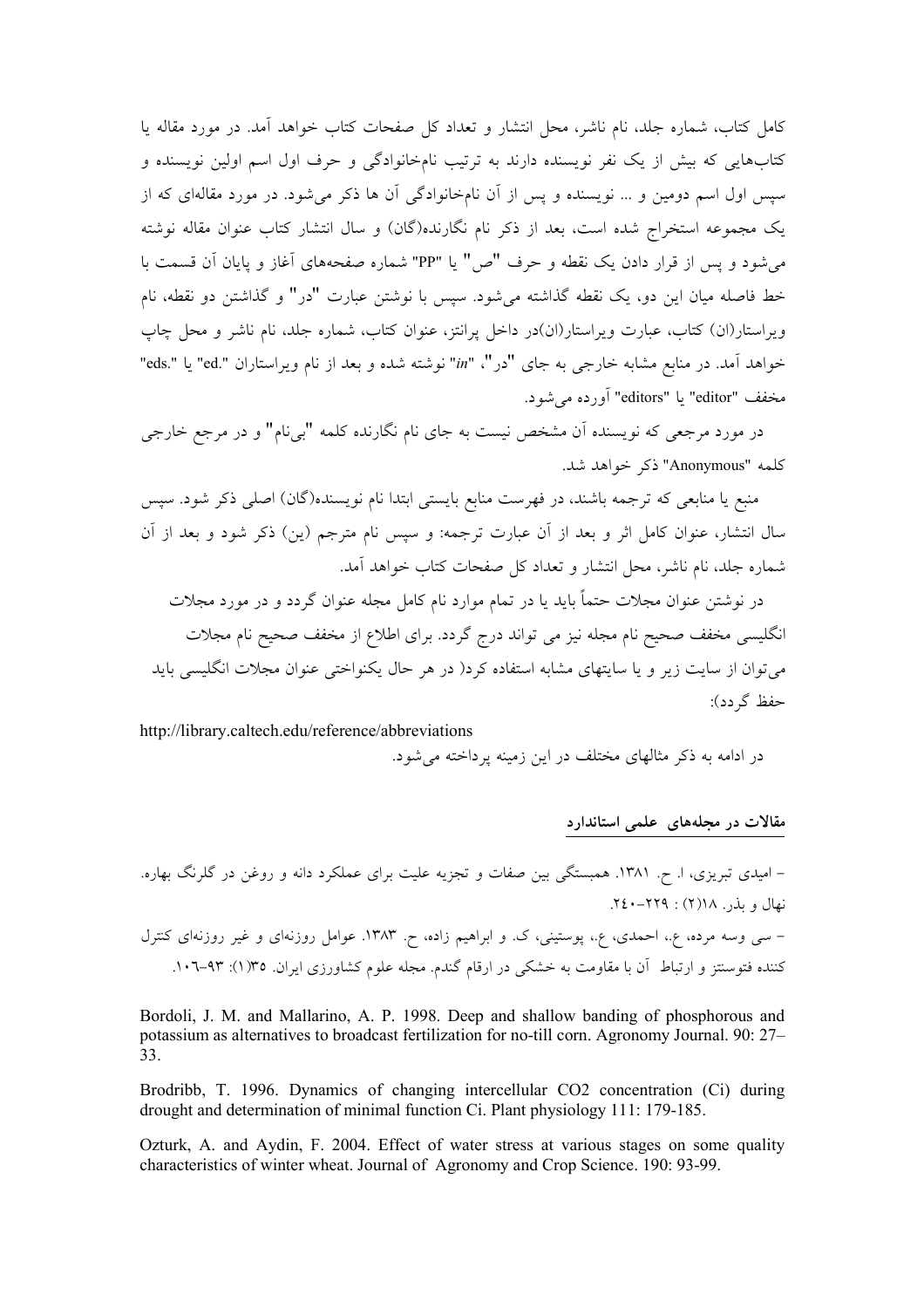کامل کتاب، شماره جلد، نام ناشر، محل انتشار و تعداد کل صفحات کتاب خواهد آمد. در مورد مقاله پا کتابهایی که بیش از یک نفر نویسنده دارند به ترتیب نامخانوادگی و حرف اول اسم اولین نویسنده و سیس اول اسم دومین و … نویسنده و پس از آن نامخانوادگی آن ها ذکر می شود. در مورد مقالهای که از یک مجموعه استخراج شده است، بعد از ذکر نام نگارنده(گان) و سال انتشار کتاب عنوان مقاله نوشته میشود و پس از قرار دادن یک نقطه و حرف "ص" یا "PP" شماره صفحههای آغاز و یایان آن قسمت با خط فاصله میان این دو، یک نقطه گذاشته می شود. سیس با نوشتن عبارت "در" و گذاشتن دو نقطه، نام ویراستار(ان) کتاب، عبارت ویراستار(ان)در داخل پرانتز، عنوان کتاب، شماره جلد، نام ناشر و محل چاپ خواهد آمد. در منابع مشابه خارجي به جاي "در"، "in" نوشته شده و بعد از نام ويراستاران ".eds" يا ".eds" مخفف "editor" يا "editors" أورده مي شود.

در مورد مرجعی که نویسنده آن مشخص نیست به جای نام نگارنده کلمه "بیiما" و در مرجع خارجی كلمه "Anonymous" ذكر خواهد شد.

منبع یا منابعی که ترجمه باشند، در فهرست منابع بایستی ابتدا نام نویسنده(گان) اصلی ذکر شود. سپس سال انتشار، عنوان كامل اثر و بعد از آن عبارت ترجمه: و سيس نام مترجم (ين) ذكر شود و بعد از آن شماره جلد، نام ناشر، محل انتشار و تعداد کل صفحات کتاب خواهد آمد.

در نوشتن عنوان مجلات حتماً باید یا در تمام موارد نام کامل مجله عنوان گردد و در مورد مجلات انگلیسی مخفف صحیح نام مجله نیز می تواند درج گردد. برای اطلاع از مخفف صحیح نام مجلات می توان از سایت زیر و یا سایتهای مشابه استفاده کرد( در هر حال یکنواختی عنوان مجلات انگلیسی باید حفظ گر دد):

http://library.caltech.edu/reference/abbreviations

در ادامه به ذکر مثالهای مختلف در این زمینه پرداخته می شود.

#### مقالات در مجلههای علمی استاندارد

Bordoli, J. M. and Mallarino, A. P. 1998. Deep and shallow banding of phosphorous and potassium as alternatives to broadcast fertilization for no-till corn. Agronomy Journal. 90: 27-33.

Brodribb, T. 1996. Dynamics of changing intercellular CO2 concentration (Ci) during drought and determination of minimal function Ci. Plant physiology 111: 179-185.

Ozturk, A. and Aydin, F. 2004. Effect of water stress at various stages on some quality characteristics of winter wheat. Journal of Agronomy and Crop Science. 190: 93-99.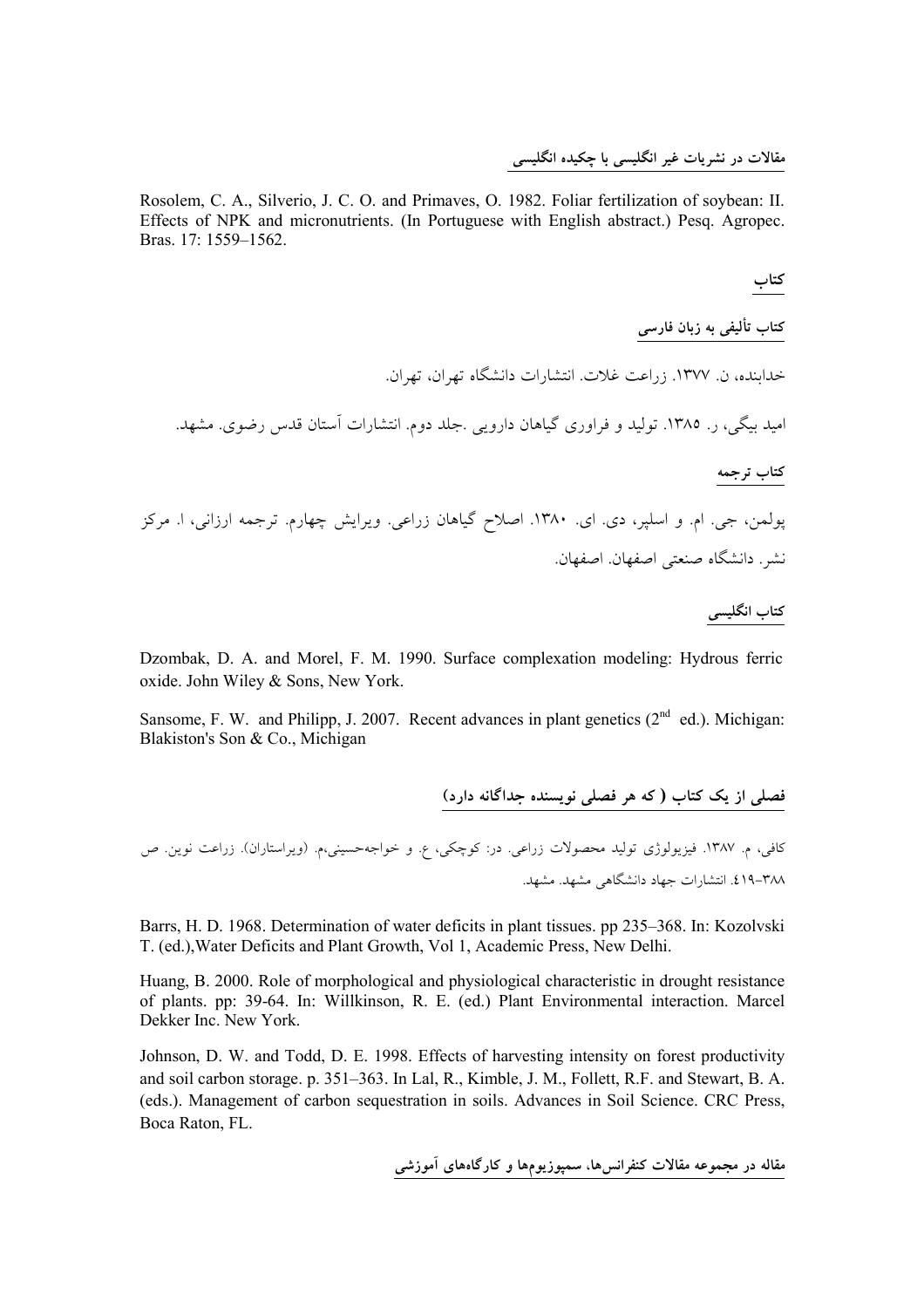#### مقالات در نشریات غیر انگلیسی با چکیده انگلیسی

Rosolem, C. A., Silverio, J. C. O. and Primaves, O. 1982. Foliar fertilization of sovbean: II. Effects of NPK and micronutrients. (In Portuguese with English abstract.) Pesq. Agropec. Bras. 17: 1559-1562.

كتاب

كتاب تأليفى به زبان فارس*ى* 

خداینده، ن. ۱۳۷۷. زراعت غلات. انتشارات دانشگاه تهران، تهران.

امید بیگی، ر. ۱۳۸۵. تولید و فراوری گیاهان دارویی .جلد دوم. انتشارات آستان قدس رضوی. مشهد.

#### كتاب ترجمه

پولمن، جی. ام. و اسلپر، دی. ای. ۱۳۸۰. اصلاح گیاهان زراعی. ویرایش چهارم. ترجمه ارزانی، ا. مرکز نشر. دانشگاه صنعتی اصفهان اصفهان.

#### كتاب انگليسى

Dzombak, D. A. and Morel, F. M. 1990. Surface complexation modeling: Hydrous ferric oxide. John Wiley & Sons. New York.

Sansome, F. W. and Philipp, J. 2007. Recent advances in plant genetics  $(2^{nd}$  ed.). Michigan: Blakiston's Son & Co., Michigan

فصلی از یک کتاب (که هر فصلی نویسنده جداگانه دارد)

کافی، م. ۱۳۸۷. فیزیولوژی تولید محصولات زراعی. در: کوچکی، ع. و خواجهحسینی،م. (ویراستاران). زراعت نوین. ص ۳۸۸–۶۱۹. انتشارات جهاد دانشگاهی مشهد. مشهد.

Barrs, H. D. 1968. Determination of water deficits in plant tissues. pp 235–368. In: Kozolyski T. (ed.), Water Deficits and Plant Growth, Vol 1, Academic Press, New Delhi.

Huang, B. 2000. Role of morphological and physiological characteristic in drought resistance of plants. pp: 39-64. In: Willkinson, R. E. (ed.) Plant Environmental interaction. Marcel Dekker Inc. New York.

Johnson, D. W. and Todd, D. E. 1998. Effects of harvesting intensity on forest productivity and soil carbon storage. p. 351-363. In Lal, R., Kimble, J. M., Follett, R.F. and Stewart, B. A. (eds.). Management of carbon sequestration in soils. Advances in Soil Science. CRC Press, Boca Raton, FL.

مقاله در مجموعه مقالات کنفرانسرها، سمپوزیومها و کارگاههای آموزشی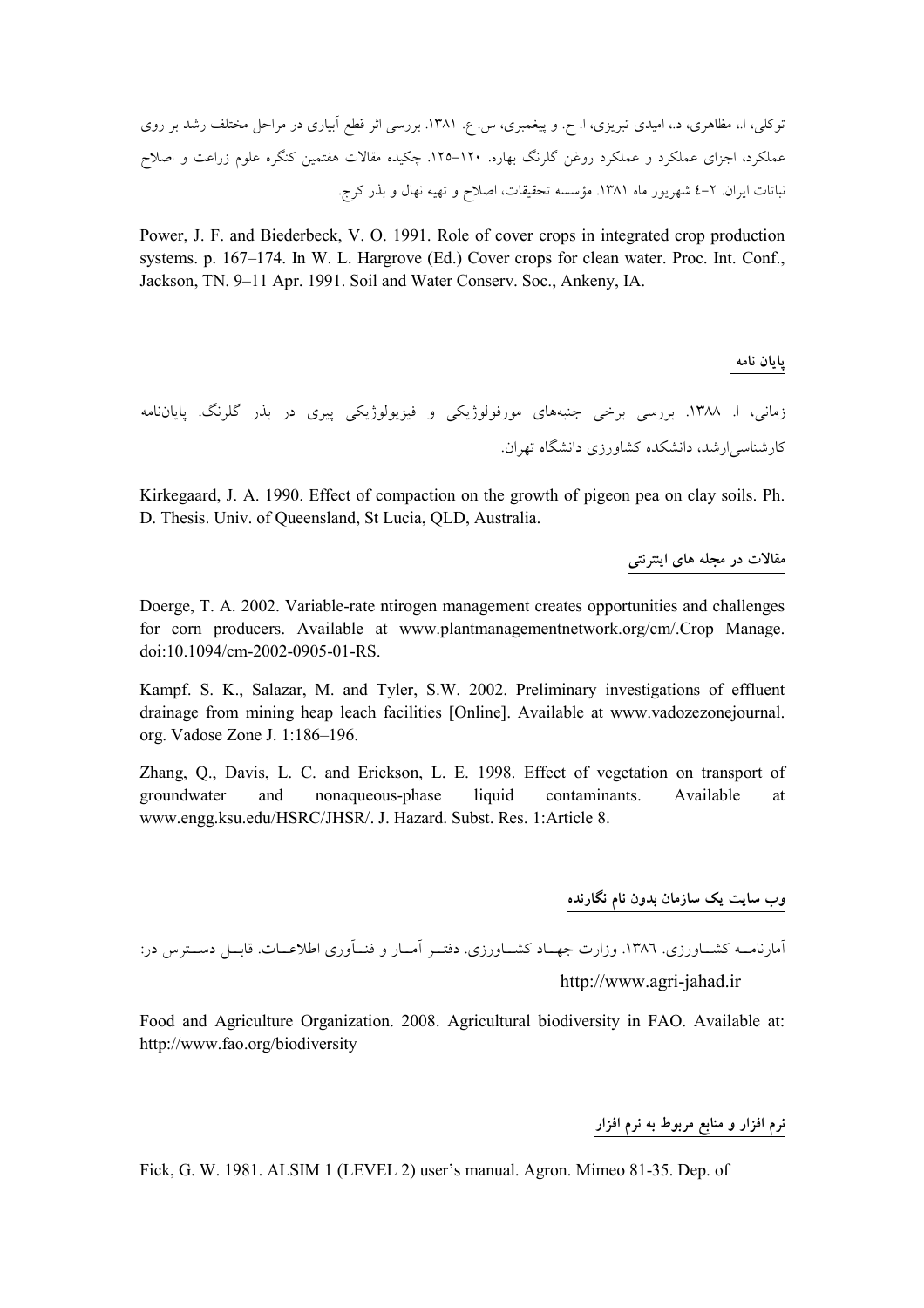Power, J. F. and Biederbeck, V. O. 1991. Role of cover crops in integrated crop production systems. p. 167-174. In W. L. Hargrove (Ed.) Cover crops for clean water. Proc. Int. Conf., Jackson, TN. 9–11 Apr. 1991. Soil and Water Conserv. Soc., Ankeny. IA.

پايان نامه زمانی، ا. ۱۳۸۸. بررسی برخی جنبههای مورفولوژیکی و فیزیولوژیکی پیری در بذر گلرنگ. پایاننامه کارشناسے ارشد، دانشکدہ کشاورزی دانشگاہ تھران.

Kirkegaard, J. A. 1990. Effect of compaction on the growth of pigeon pea on clay soils. Ph. D. Thesis. Univ. of Queensland, St Lucia, QLD, Australia.

مقالات در مجله های اینترنتی

Doerge, T. A. 2002. Variable-rate ntirogen management creates opportunities and challenges for corn producers. Available at www.plantmanagementnetwork.org/cm/.Crop Manage. doi:10.1094/cm-2002-0905-01-RS.

Kampf. S. K., Salazar, M. and Tyler, S.W. 2002. Preliminary investigations of effluent drainage from mining heap leach facilities [Online]. Available at www.vadozezonejournal. org. Vadose Zone J. 1:186-196.

Zhang, Q., Davis, L. C. and Erickson, L. E. 1998. Effect of vegetation on transport of Available groundwater and nonaqueous-phase liquid contaminants. at www.engg.ksu.edu/HSRC/JHSR/. J. Hazard. Subst. Res. 1:Article 8.

وب سایت یک سازمان بدون نام نگارنده

آمارنامــه کشــاورزی. ۱۳۸٦. وزارت جهــاد کشــاورزی. دفتــر آمــار و فنــآوری اطلاعــات. قابــل دســترس در: http://www.agri-jahad.ir

Food and Agriculture Organization. 2008. Agricultural biodiversity in FAO. Available at: http://www.fao.org/biodiversity

نرم افزار و منابع مربوط به نرم افزار

Fick, G. W. 1981. ALSIM 1 (LEVEL 2) user's manual. Agron. Mimeo 81-35. Dep. of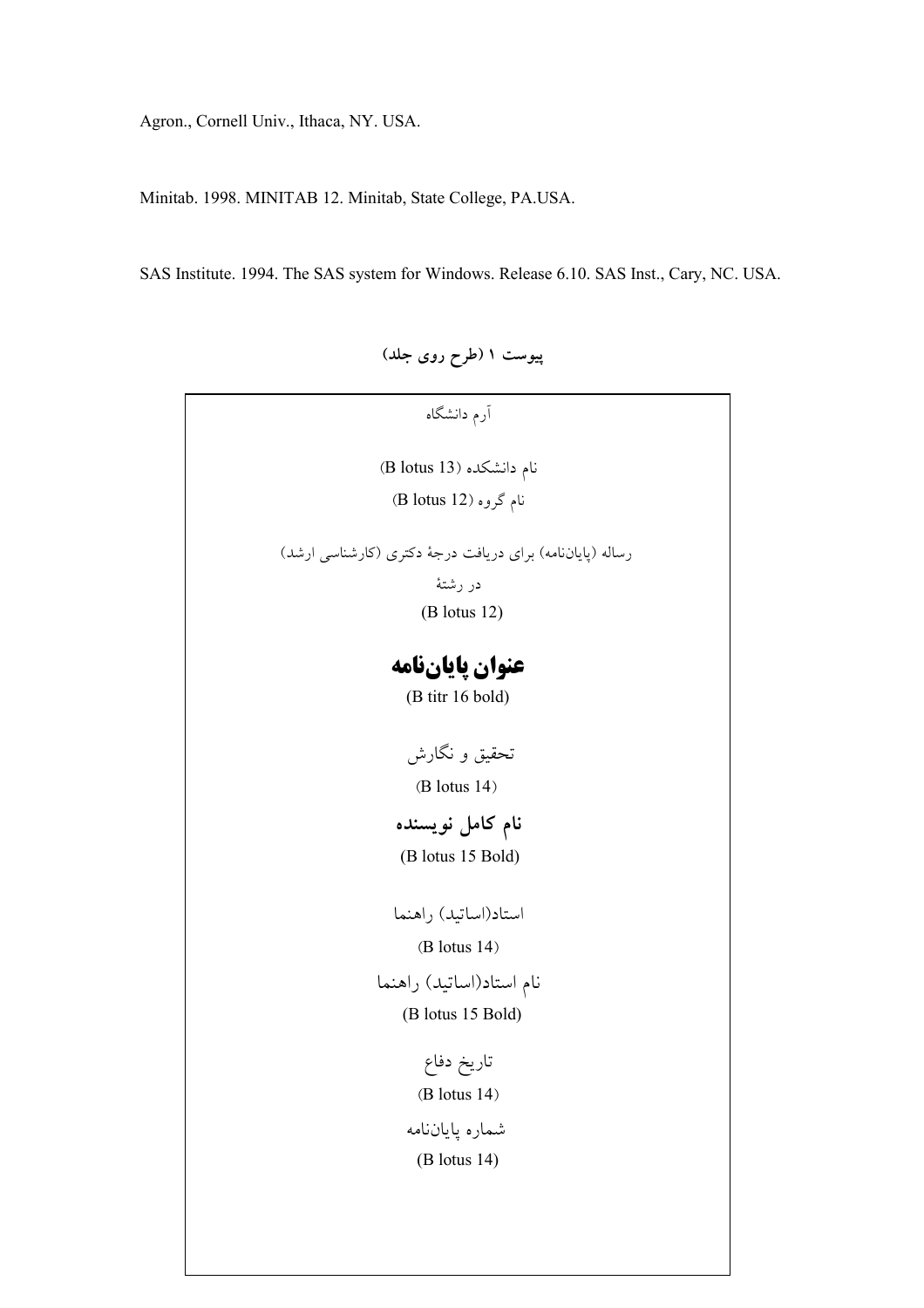Agron., Cornell Univ., Ithaca, NY. USA.

Minitab. 1998. MINITAB 12. Minitab, State College, PA.USA.

SAS Institute. 1994. The SAS system for Windows. Release 6.10. SAS Inst., Cary, NC. USA.

پیوست ۱ (طرح روی جلد)

| آرم دانشگاه                                               |
|-----------------------------------------------------------|
| نام دانشکده (B lotus 13)                                  |
| نام گروہ (B lotus 12)                                     |
| رساله (پایاننامه) برای دریافت درجهٔ دکتری (کارشناسی ارشد) |
| در رشتهٔ                                                  |
| $(B$ lotus 12)                                            |
| عنوان پایانفامه                                           |
| (B titr 16 bold)                                          |
| تحقیق و نگارش                                             |
| $(B$ lotus $14)$                                          |
|                                                           |
| نام كامل نويسنده                                          |
| (B lotus 15 Bold)                                         |
| استاد(اساتيد) راهنما                                      |
| $(B$ lotus $14)$                                          |
| نام استاد(اساتید) راهنما                                  |
| (B lotus 15 Bold)                                         |
| تاريخ دفاع                                                |
| $(B$ lotus $14)$                                          |
| شماره پایاننامه                                           |
| (B lotus 14)                                              |
|                                                           |
|                                                           |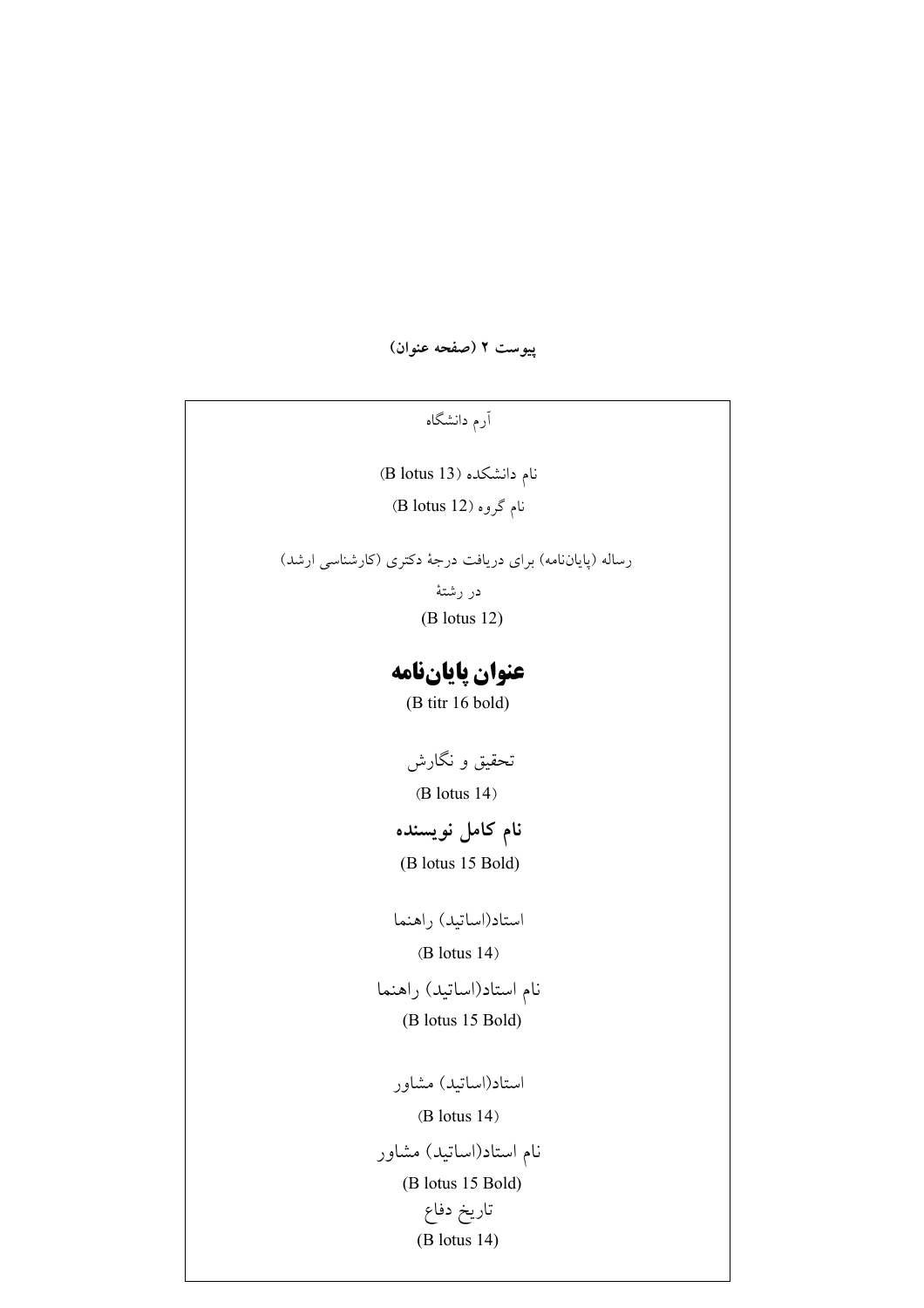پيوست ٢ (صفحه عنوان)

آرم دانشگاه

نام دانشکده (B lotus 13) نام گروہ (B lotus 12)

رساله (پایاننامه) برای دریافت درجهٔ دکتری (کارشناسی ارشد)

در رشتهٔ

 $(B$  lotus 12)

## عنوان پایاننامه

(B titr 16 bold)

تحقیق و نگارش  $(B$  lotus  $14)$ 

## نام كامل نويسنده

(B lotus 15 Bold)

استاد(اساتيد) راهنما

 $(B$  lotus  $14)$ 

نام استاد(اساتید) راهنما (B lotus 15 Bold)

استاد(اساتید) مشاور  $(B$  lotus 14) نام استاد(اساتید) مشاور (B lotus 15 Bold) تاريخ دفاع  $(B$  lotus 14)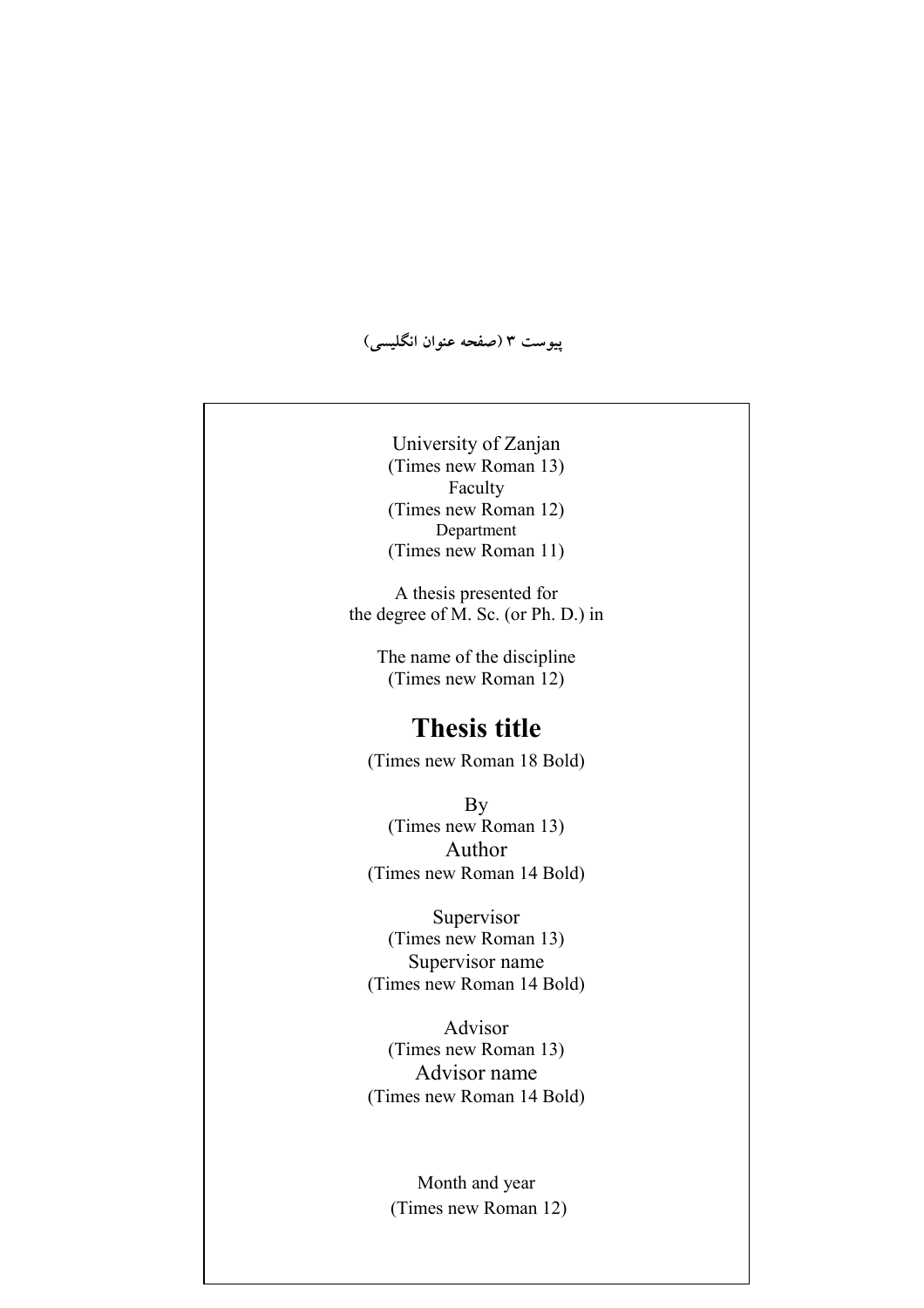**(5\$; @ -:4) 3 [ \$**

University of Zanjan (Times new Roman 13) Faculty (Times new Roman 12) Department (Times new Roman 11)

A thesis presented for the degree of M. Sc. (or Ph. D.) in

> The name of the discipline (Times new Roman 12)

## **Thesis title**

(Times new Roman 18 Bold)

By (Times new Roman 13) Author (Times new Roman 14 Bold)

Supervisor (Times new Roman 13) Supervisor name (Times new Roman 14 Bold)

Advisor (Times new Roman 13) Advisor name (Times new Roman 14 Bold)

> Month and year (Times new Roman 12)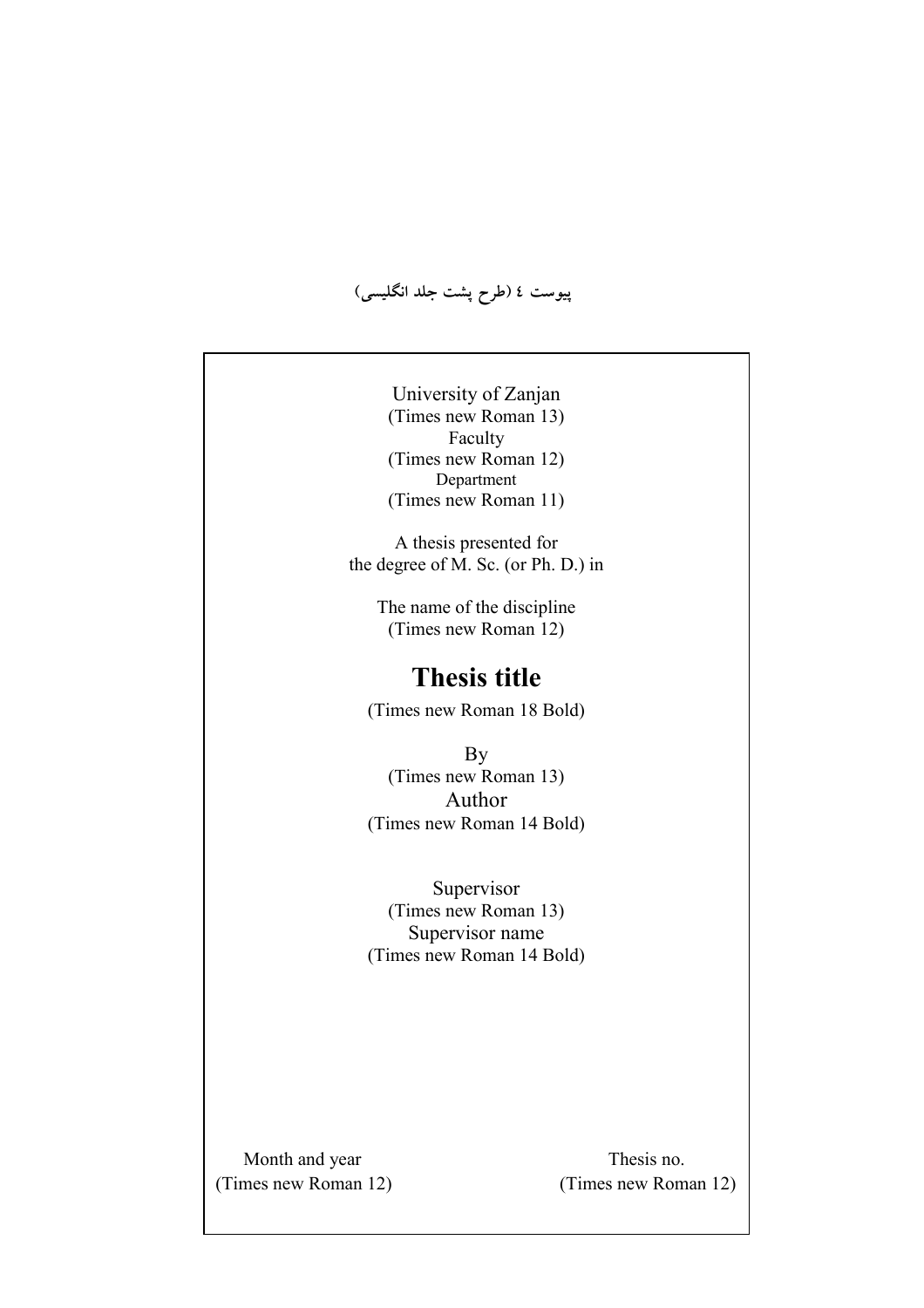**(5\$; ;B [ fW) 4 [ \$**

University of Zanjan (Times new Roman 13) Faculty (Times new Roman 12) Department (Times new Roman 11)

A thesis presented for the degree of M. Sc. (or Ph. D.) in

> The name of the discipline (Times new Roman 12)

## **Thesis title**

(Times new Roman 18 Bold)

By (Times new Roman 13) Author (Times new Roman 14 Bold)

Supervisor (Times new Roman 13) Supervisor name (Times new Roman 14 Bold)

Month and year Thesis no.

(Times new Roman 12) (Times new Roman 12)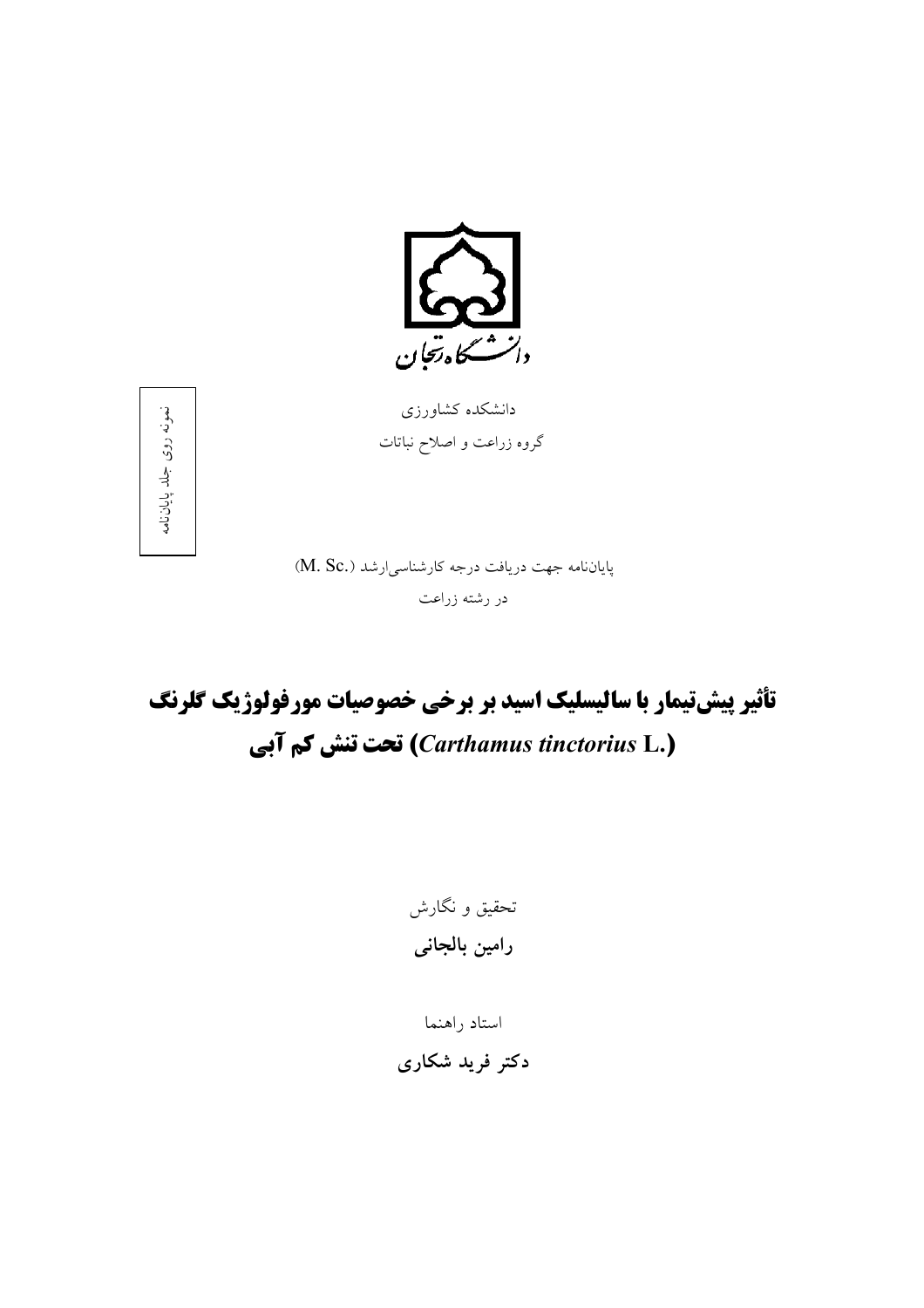

دانشکده کشاورزی گروه زراعت و اصلاح نباتات

نمونه روى جلد پاياننامه

پایاننامه جهت دریافت درجه کارشناسی ارشد (.M. Sc) در رشته زراعت

تأثیر پیشتیمار با سالیسلیک اسید بر برخی خصوصیات مورفولوژیک گلرنگ (Carthamus tinctorius L.) تحت تنش کم آبی

تحقیق و نگارش رامين بالجانى

استاد راهنما دکتر فرید شکاری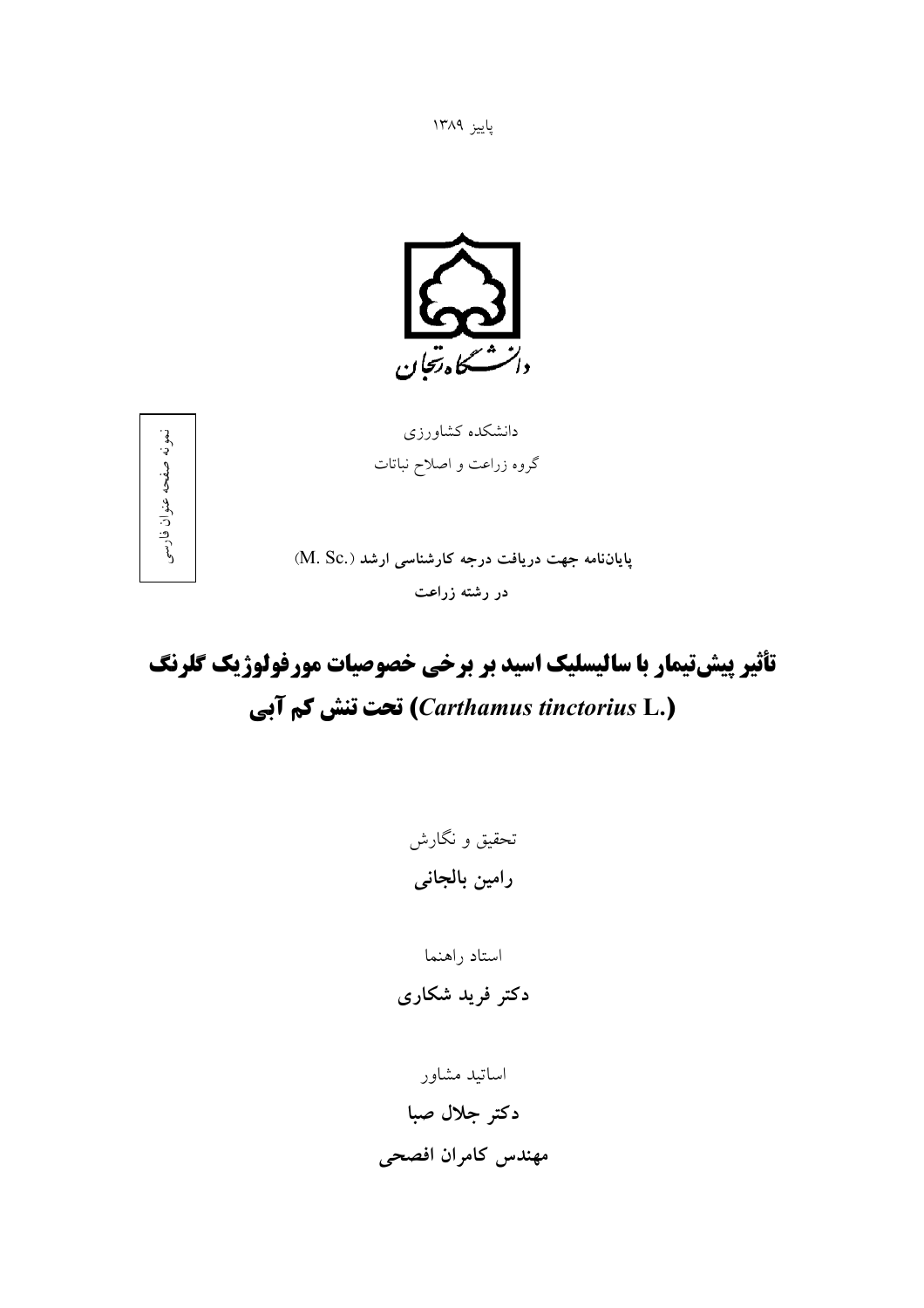پاييز ۱۳۸۹



دانشکده کشاورزی گروه زراعت و اصلاح نباتات



پایاننامه جهت دریافت درجه کارشناسی ارشد (.M. Sc) در رشته زراعت

# تأثیر پیشتیمار با سالیسلیک اسید بر برخی خصوصیات مورفولوژیک گلرنگ (Carthamus tinctorius L.) تحت تنش كم آبي

تحقیق و نگارش رامين بالجانى

استاد راهنما دکتر فرید شکاری

اساتيد مشاور دكتر جلال صبا مهندس كامران افصحى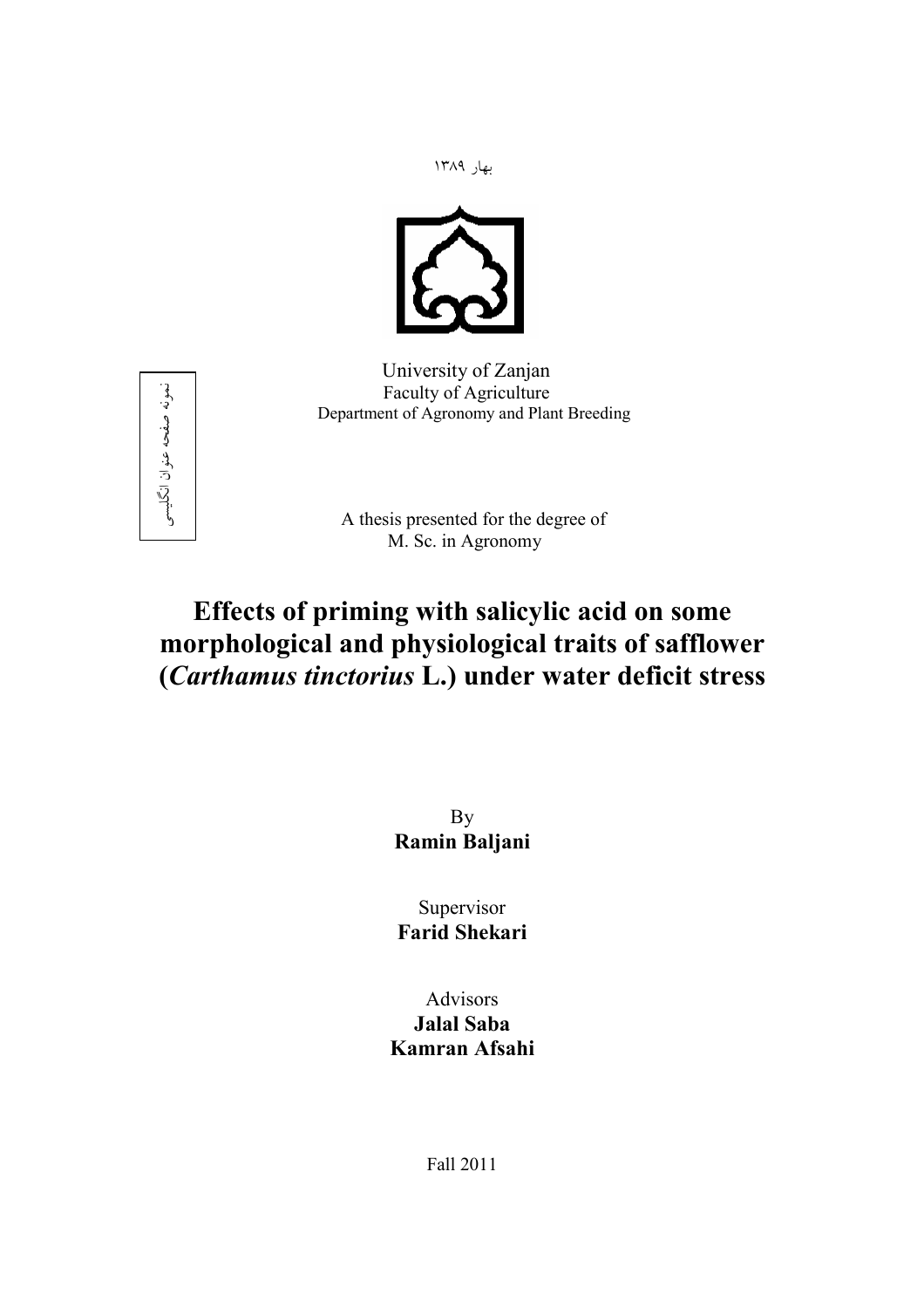بهار ۱۳۸۹



University of Zanjan Faculty of Agriculture Department of Agronomy and Plant Breeding



A thesis presented for the degree of M. Sc. in Agronomy

# **Effects of priming with salicylic acid on some morphological and physiological traits of safflower (***Carthamus tinctorius* **L.) under water deficit stress**

By **Ramin Baljani** 

Supervisor **Farid Shekari** 

Advisors **Jalal Saba Kamran Afsahi** 

Fall 2011